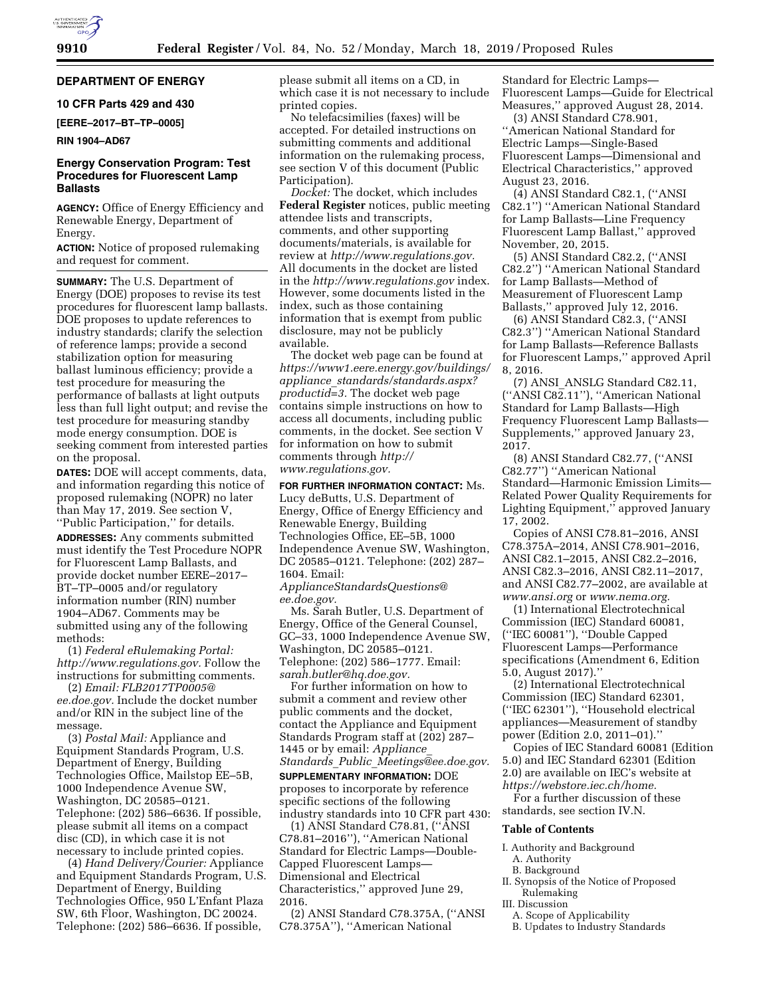# **DEPARTMENT OF ENERGY**

# **10 CFR Parts 429 and 430**

**[EERE–2017–BT–TP–0005]** 

#### **RIN 1904–AD67**

# **Energy Conservation Program: Test Procedures for Fluorescent Lamp Ballasts**

**AGENCY:** Office of Energy Efficiency and Renewable Energy, Department of Energy.

**ACTION:** Notice of proposed rulemaking and request for comment.

**SUMMARY:** The U.S. Department of Energy (DOE) proposes to revise its test procedures for fluorescent lamp ballasts. DOE proposes to update references to industry standards; clarify the selection of reference lamps; provide a second stabilization option for measuring ballast luminous efficiency; provide a test procedure for measuring the performance of ballasts at light outputs less than full light output; and revise the test procedure for measuring standby mode energy consumption. DOE is seeking comment from interested parties on the proposal.

**DATES:** DOE will accept comments, data, and information regarding this notice of proposed rulemaking (NOPR) no later than May 17, 2019. See section V, ''Public Participation,'' for details.

**ADDRESSES:** Any comments submitted must identify the Test Procedure NOPR for Fluorescent Lamp Ballasts, and provide docket number EERE–2017– BT–TP–0005 and/or regulatory information number (RIN) number 1904–AD67. Comments may be submitted using any of the following methods:

(1) *Federal eRulemaking Portal: http://www.regulations.gov.* Follow the instructions for submitting comments.

(2) *Email: FLB2017TP0005@ ee.doe.gov.* Include the docket number and/or RIN in the subject line of the message.

(3) *Postal Mail:* Appliance and Equipment Standards Program, U.S. Department of Energy, Building Technologies Office, Mailstop EE–5B, 1000 Independence Avenue SW, Washington, DC 20585–0121. Telephone: (202) 586–6636. If possible, please submit all items on a compact disc (CD), in which case it is not necessary to include printed copies.

(4) *Hand Delivery/Courier:* Appliance and Equipment Standards Program, U.S. Department of Energy, Building Technologies Office, 950 L'Enfant Plaza SW, 6th Floor, Washington, DC 20024. Telephone: (202) 586–6636. If possible,

please submit all items on a CD, in which case it is not necessary to include printed copies.

No telefacsimilies (faxes) will be accepted. For detailed instructions on submitting comments and additional information on the rulemaking process, see section V of this document (Public Participation).

*Docket:* The docket, which includes **Federal Register** notices, public meeting attendee lists and transcripts, comments, and other supporting documents/materials, is available for review at *http://www.regulations.gov.*  All documents in the docket are listed in the *http://www.regulations.gov* index. However, some documents listed in the index, such as those containing information that is exempt from public disclosure, may not be publicly available.

The docket web page can be found at *https://www1.eere.energy.gov/buildings/ appliance*\_*standards/standards.aspx? productid=3.* The docket web page contains simple instructions on how to access all documents, including public comments, in the docket. See section V for information on how to submit comments through *http://*

*www.regulations.gov.* 

**FOR FURTHER INFORMATION CONTACT:** Ms. Lucy deButts, U.S. Department of Energy, Office of Energy Efficiency and Renewable Energy, Building Technologies Office, EE–5B, 1000 Independence Avenue SW, Washington, DC 20585–0121. Telephone: (202) 287– 1604. Email:

*ApplianceStandardsQuestions@ ee.doe.gov.* 

Ms. Sarah Butler, U.S. Department of Energy, Office of the General Counsel, GC–33, 1000 Independence Avenue SW, Washington, DC 20585–0121. Telephone: (202) 586–1777. Email: *sarah.butler@hq.doe.gov.* 

For further information on how to submit a comment and review other public comments and the docket, contact the Appliance and Equipment Standards Program staff at (202) 287– 1445 or by email: *Appliance*\_ *Standards*\_*Public*\_*Meetings@ee.doe.gov.* 

**SUPPLEMENTARY INFORMATION:** DOE proposes to incorporate by reference specific sections of the following industry standards into 10 CFR part 430:

(1) ANSI Standard C78.81, (''ANSI C78.81–2016''), ''American National Standard for Electric Lamps—Double-Capped Fluorescent Lamps— Dimensional and Electrical Characteristics,'' approved June 29, 2016.

(2) ANSI Standard C78.375A, (''ANSI C78.375A''), ''American National

Standard for Electric Lamps— Fluorescent Lamps—Guide for Electrical Measures,'' approved August 28, 2014.

(3) ANSI Standard C78.901, ''American National Standard for Electric Lamps—Single-Based Fluorescent Lamps—Dimensional and Electrical Characteristics,'' approved August 23, 2016.

(4) ANSI Standard C82.1, (''ANSI C82.1'') ''American National Standard for Lamp Ballasts—Line Frequency Fluorescent Lamp Ballast,'' approved November, 20, 2015.

(5) ANSI Standard C82.2, (''ANSI C82.2'') ''American National Standard for Lamp Ballasts—Method of Measurement of Fluorescent Lamp Ballasts,'' approved July 12, 2016.

(6) ANSI Standard C82.3, (''ANSI C82.3'') ''American National Standard for Lamp Ballasts—Reference Ballasts for Fluorescent Lamps,'' approved April 8, 2016.

(7) ANSI\_ANSLG Standard C82.11, (''ANSI C82.11''), ''American National Standard for Lamp Ballasts—High Frequency Fluorescent Lamp Ballasts— Supplements,'' approved January 23, 2017.

(8) ANSI Standard C82.77, (''ANSI C82.77'') ''American National Standard—Harmonic Emission Limits— Related Power Quality Requirements for Lighting Equipment,'' approved January 17, 2002.

Copies of ANSI C78.81–2016, ANSI C78.375A–2014, ANSI C78.901–2016, ANSI C82.1–2015, ANSI C82.2–2016, ANSI C82.3–2016, ANSI C82.11–2017, and ANSI C82.77–2002, are available at *www.ansi.org* or *www.nema.org.* 

(1) International Electrotechnical Commission (IEC) Standard 60081, (''IEC 60081''), ''Double Capped Fluorescent Lamps—Performance specifications (Amendment 6, Edition 5.0, August 2017).''

(2) International Electrotechnical Commission (IEC) Standard 62301, (''IEC 62301''), ''Household electrical appliances—Measurement of standby power (Edition 2.0, 2011–01).''

Copies of IEC Standard 60081 (Edition 5.0) and IEC Standard 62301 (Edition 2.0) are available on IEC's website at *https://webstore.iec.ch/home.* 

For a further discussion of these standards, see section IV.N.

#### **Table of Contents**

- I. Authority and Background
	- A. Authority
- B. Background II. Synopsis of the Notice of Proposed
- Rulemaking
- III. Discussion
	- A. Scope of Applicability
	- B. Updates to Industry Standards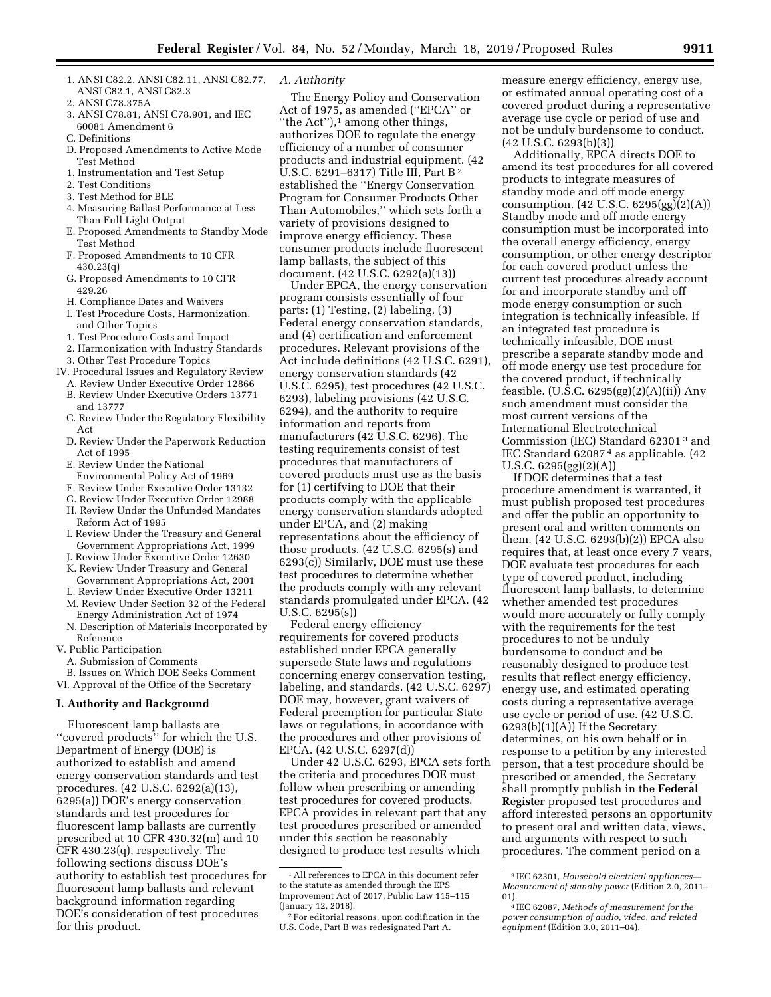- 1. ANSI C82.2, ANSI C82.11, ANSI C82.77, ANSI C82.1, ANSI C82.3
- 2. ANSI C78.375A
- 3. ANSI C78.81, ANSI C78.901, and IEC 60081 Amendment 6
- C. Definitions
- D. Proposed Amendments to Active Mode Test Method
- 1. Instrumentation and Test Setup
- 2. Test Conditions
- 3. Test Method for BLE
- 4. Measuring Ballast Performance at Less Than Full Light Output
- E. Proposed Amendments to Standby Mode Test Method
- F. Proposed Amendments to 10 CFR 430.23(q)
- G. Proposed Amendments to 10 CFR 429.26
- H. Compliance Dates and Waivers
- I. Test Procedure Costs, Harmonization, and Other Topics
- 1. Test Procedure Costs and Impact
- 2. Harmonization with Industry Standards
- 3. Other Test Procedure Topics
- IV. Procedural Issues and Regulatory Review
	- A. Review Under Executive Order 12866 B. Review Under Executive Orders 13771
	- and 13777
	- C. Review Under the Regulatory Flexibility Act
	- D. Review Under the Paperwork Reduction Act of 1995
	- E. Review Under the National Environmental Policy Act of 1969
	- F. Review Under Executive Order 13132
	- G. Review Under Executive Order 12988
	- H. Review Under the Unfunded Mandates Reform Act of 1995
	- I. Review Under the Treasury and General Government Appropriations Act, 1999
	- J. Review Under Executive Order 12630
	- K. Review Under Treasury and General
	- Government Appropriations Act, 2001
	- L. Review Under Executive Order 13211
	- M. Review Under Section 32 of the Federal Energy Administration Act of 1974
	- N. Description of Materials Incorporated by Reference

V. Public Participation

A. Submission of Comments B. Issues on Which DOE Seeks Comment

VI. Approval of the Office of the Secretary

## **I. Authority and Background**

Fluorescent lamp ballasts are ''covered products'' for which the U.S. Department of Energy (DOE) is authorized to establish and amend energy conservation standards and test procedures. (42 U.S.C. 6292(a)(13), 6295(a)) DOE's energy conservation standards and test procedures for fluorescent lamp ballasts are currently prescribed at 10 CFR 430.32(m) and 10 CFR 430.23(q), respectively. The following sections discuss DOE's authority to establish test procedures for fluorescent lamp ballasts and relevant background information regarding DOE's consideration of test procedures for this product.

## *A. Authority*

The Energy Policy and Conservation Act of 1975, as amended (''EPCA'' or "the Act"), $\frac{1}{1}$  among other things, authorizes DOE to regulate the energy efficiency of a number of consumer products and industrial equipment. (42 U.S.C. 6291-6317) Title III, Part B<sup>2</sup> established the ''Energy Conservation Program for Consumer Products Other Than Automobiles,'' which sets forth a variety of provisions designed to improve energy efficiency. These consumer products include fluorescent lamp ballasts, the subject of this document. (42 U.S.C. 6292(a)(13))

Under EPCA, the energy conservation program consists essentially of four parts: (1) Testing, (2) labeling, (3) Federal energy conservation standards, and (4) certification and enforcement procedures. Relevant provisions of the Act include definitions (42 U.S.C. 6291), energy conservation standards (42 U.S.C. 6295), test procedures (42 U.S.C. 6293), labeling provisions (42 U.S.C. 6294), and the authority to require information and reports from manufacturers (42 U.S.C. 6296). The testing requirements consist of test procedures that manufacturers of covered products must use as the basis for (1) certifying to DOE that their products comply with the applicable energy conservation standards adopted under EPCA, and (2) making representations about the efficiency of those products. (42 U.S.C. 6295(s) and 6293(c)) Similarly, DOE must use these test procedures to determine whether the products comply with any relevant standards promulgated under EPCA. (42 U.S.C. 6295(s))

Federal energy efficiency requirements for covered products established under EPCA generally supersede State laws and regulations concerning energy conservation testing, labeling, and standards. (42 U.S.C. 6297) DOE may, however, grant waivers of Federal preemption for particular State laws or regulations, in accordance with the procedures and other provisions of EPCA. (42 U.S.C. 6297(d))

Under 42 U.S.C. 6293, EPCA sets forth the criteria and procedures DOE must follow when prescribing or amending test procedures for covered products. EPCA provides in relevant part that any test procedures prescribed or amended under this section be reasonably designed to produce test results which

measure energy efficiency, energy use, or estimated annual operating cost of a covered product during a representative average use cycle or period of use and not be unduly burdensome to conduct. (42 U.S.C. 6293(b)(3))

Additionally, EPCA directs DOE to amend its test procedures for all covered products to integrate measures of standby mode and off mode energy consumption. (42 U.S.C. 6295(gg)(2)(A)) Standby mode and off mode energy consumption must be incorporated into the overall energy efficiency, energy consumption, or other energy descriptor for each covered product unless the current test procedures already account for and incorporate standby and off mode energy consumption or such integration is technically infeasible. If an integrated test procedure is technically infeasible, DOE must prescribe a separate standby mode and off mode energy use test procedure for the covered product, if technically feasible. (U.S.C. 6295(gg)(2)(A)(ii)) Any such amendment must consider the most current versions of the International Electrotechnical Commission (IEC) Standard 62301 3 and IEC Standard 62087 4 as applicable. (42 U.S.C. 6295(gg)(2)(A))

If DOE determines that a test procedure amendment is warranted, it must publish proposed test procedures and offer the public an opportunity to present oral and written comments on them. (42 U.S.C. 6293(b)(2)) EPCA also requires that, at least once every 7 years, DOE evaluate test procedures for each type of covered product, including fluorescent lamp ballasts, to determine whether amended test procedures would more accurately or fully comply with the requirements for the test procedures to not be unduly burdensome to conduct and be reasonably designed to produce test results that reflect energy efficiency, energy use, and estimated operating costs during a representative average use cycle or period of use. (42 U.S.C.  $6293(b)(1)(A))$  If the Secretary determines, on his own behalf or in response to a petition by any interested person, that a test procedure should be prescribed or amended, the Secretary shall promptly publish in the **Federal Register** proposed test procedures and afford interested persons an opportunity to present oral and written data, views, and arguments with respect to such procedures. The comment period on a

<sup>1</sup>All references to EPCA in this document refer to the statute as amended through the EPS Improvement Act of 2017, Public Law 115–115 (January 12, 2018).

<sup>2</sup>For editorial reasons, upon codification in the U.S. Code, Part B was redesignated Part A.

<sup>3</sup> IEC 62301, *Household electrical appliances— Measurement of standby power* (Edition 2.0, 2011– 01). 4 IEC 62087, *Methods of measurement for the* 

*power consumption of audio, video, and related equipment* (Edition 3.0, 2011–04).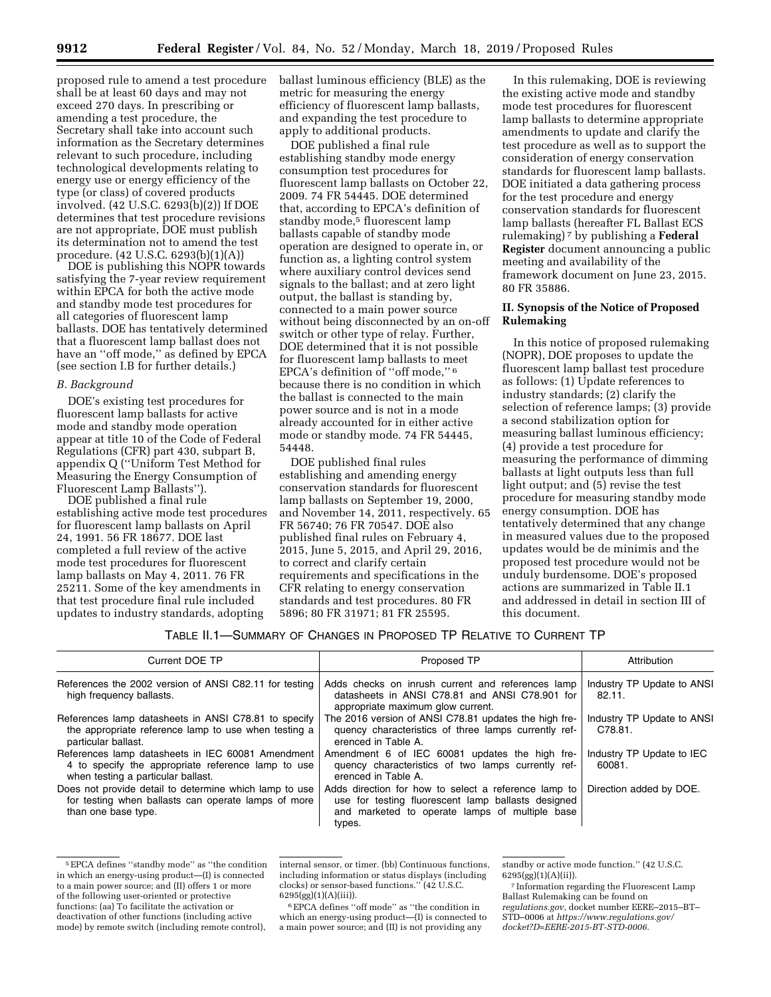proposed rule to amend a test procedure shall be at least 60 days and may not exceed 270 days. In prescribing or amending a test procedure, the Secretary shall take into account such information as the Secretary determines relevant to such procedure, including technological developments relating to energy use or energy efficiency of the type (or class) of covered products involved. (42 U.S.C. 6293(b)(2)) If DOE determines that test procedure revisions are not appropriate, DOE must publish its determination not to amend the test procedure. (42 U.S.C. 6293(b)(1)(A))

DOE is publishing this NOPR towards satisfying the 7-year review requirement within EPCA for both the active mode and standby mode test procedures for all categories of fluorescent lamp ballasts. DOE has tentatively determined that a fluorescent lamp ballast does not have an ''off mode,'' as defined by EPCA (see section I.B for further details.)

### *B. Background*

DOE's existing test procedures for fluorescent lamp ballasts for active mode and standby mode operation appear at title 10 of the Code of Federal Regulations (CFR) part 430, subpart B, appendix Q (''Uniform Test Method for Measuring the Energy Consumption of Fluorescent Lamp Ballasts'').

DOE published a final rule establishing active mode test procedures for fluorescent lamp ballasts on April 24, 1991. 56 FR 18677. DOE last completed a full review of the active mode test procedures for fluorescent lamp ballasts on May 4, 2011. 76 FR 25211. Some of the key amendments in that test procedure final rule included updates to industry standards, adopting

ballast luminous efficiency (BLE) as the metric for measuring the energy efficiency of fluorescent lamp ballasts, and expanding the test procedure to apply to additional products.

DOE published a final rule establishing standby mode energy consumption test procedures for fluorescent lamp ballasts on October 22, 2009. 74 FR 54445. DOE determined that, according to EPCA's definition of standby mode,<sup>5</sup> fluorescent lamp ballasts capable of standby mode operation are designed to operate in, or function as, a lighting control system where auxiliary control devices send signals to the ballast; and at zero light output, the ballast is standing by, connected to a main power source without being disconnected by an on-off switch or other type of relay. Further, DOE determined that it is not possible for fluorescent lamp ballasts to meet EPCA's definition of ''off mode,'' 6 because there is no condition in which the ballast is connected to the main power source and is not in a mode already accounted for in either active mode or standby mode. 74 FR 54445, 54448.

DOE published final rules establishing and amending energy conservation standards for fluorescent lamp ballasts on September 19, 2000, and November 14, 2011, respectively. 65 FR 56740; 76 FR 70547. DOE also published final rules on February 4, 2015, June 5, 2015, and April 29, 2016, to correct and clarify certain requirements and specifications in the CFR relating to energy conservation standards and test procedures. 80 FR 5896; 80 FR 31971; 81 FR 25595.

In this rulemaking, DOE is reviewing the existing active mode and standby mode test procedures for fluorescent lamp ballasts to determine appropriate amendments to update and clarify the test procedure as well as to support the consideration of energy conservation standards for fluorescent lamp ballasts. DOE initiated a data gathering process for the test procedure and energy conservation standards for fluorescent lamp ballasts (hereafter FL Ballast ECS rulemaking) 7 by publishing a **Federal Register** document announcing a public meeting and availability of the framework document on June 23, 2015. 80 FR 35886.

## **II. Synopsis of the Notice of Proposed Rulemaking**

In this notice of proposed rulemaking (NOPR), DOE proposes to update the fluorescent lamp ballast test procedure as follows: (1) Update references to industry standards; (2) clarify the selection of reference lamps; (3) provide a second stabilization option for measuring ballast luminous efficiency; (4) provide a test procedure for measuring the performance of dimming ballasts at light outputs less than full light output; and (5) revise the test procedure for measuring standby mode energy consumption. DOE has tentatively determined that any change in measured values due to the proposed updates would be de minimis and the proposed test procedure would not be unduly burdensome. DOE's proposed actions are summarized in Table II.1 and addressed in detail in section III of this document.

|  | Table II.1—Summary of Changes in Proposed TP Relative to Current TP_ |
|--|----------------------------------------------------------------------|
|  |                                                                      |

| Current DOE TP                                                                                                                                | Proposed TP                                                                                                                                                            | Attribution                           |
|-----------------------------------------------------------------------------------------------------------------------------------------------|------------------------------------------------------------------------------------------------------------------------------------------------------------------------|---------------------------------------|
| References the 2002 version of ANSI C82.11 for testing<br>high frequency ballasts.                                                            | Adds checks on inrush current and references lamp<br>datasheets in ANSI C78.81 and ANSI C78.901 for<br>appropriate maximum glow current.                               | Industry TP Update to ANSI<br>82.11.  |
| References lamp datasheets in ANSI C78.81 to specify<br>the appropriate reference lamp to use when testing a<br>particular ballast.           | The 2016 version of ANSI C78.81 updates the high fre-<br>quency characteristics of three lamps currently ref-<br>erenced in Table A.                                   | Industry TP Update to ANSI<br>C78.81. |
| References lamp datasheets in IEC 60081 Amendment<br>4 to specify the appropriate reference lamp to use<br>when testing a particular ballast. | Amendment 6 of IEC 60081 updates the high fre-<br>quency characteristics of two lamps currently ref-<br>erenced in Table A.                                            | Industry TP Update to IEC<br>60081.   |
| Does not provide detail to determine which lamp to use<br>for testing when ballasts can operate lamps of more<br>than one base type.          | Adds direction for how to select a reference lamp to<br>use for testing fluorescent lamp ballasts designed<br>and marketed to operate lamps of multiple base<br>types. | Direction added by DOE.               |

<sup>5</sup>EPCA defines ''standby mode'' as ''the condition in which an energy-using product—(I) is connected to a main power source; and (II) offers 1 or more of the following user-oriented or protective functions: (aa) To facilitate the activation or deactivation of other functions (including active mode) by remote switch (including remote control),

internal sensor, or timer. (bb) Continuous functions, including information or status displays (including clocks) or sensor-based functions.'' (42 U.S.C. 6295(gg)(1)(A)(iii)).

 $^6\rm{EPCA}$  defines ''off mode'' as ''the condition in which an energy-using product—(I) is connected to a main power source; and (II) is not providing any

standby or active mode function.'' (42 U.S.C. 6295(gg)(1)(A)(ii)).

7 Information regarding the Fluorescent Lamp Ballast Rulemaking can be found on *regulations.gov*, docket number EERE–2015–BT– STD–0006 at *https://www.regulations.gov/ docket?D=EERE-2015-BT-STD-0006.*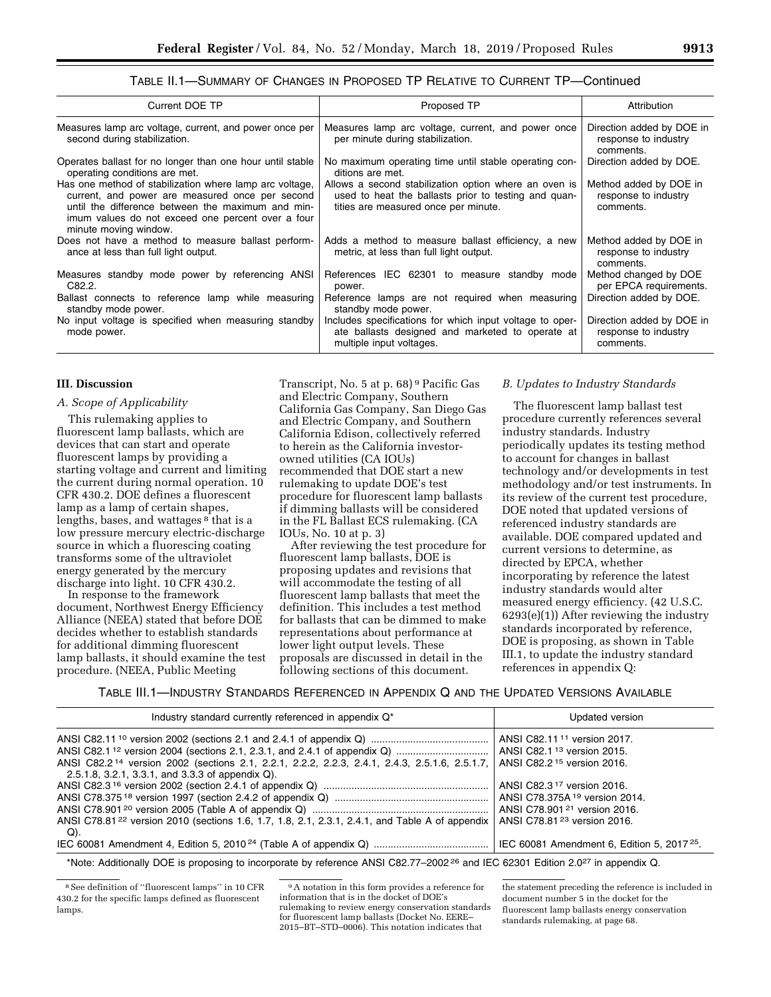## TABLE II.1—SUMMARY OF CHANGES IN PROPOSED TP RELATIVE TO CURRENT TP—Continued

| Current DOE TP                                                                                                                                                                                                                                | Proposed TP                                                                                                                                           | Attribution                                                    |
|-----------------------------------------------------------------------------------------------------------------------------------------------------------------------------------------------------------------------------------------------|-------------------------------------------------------------------------------------------------------------------------------------------------------|----------------------------------------------------------------|
| Measures lamp arc voltage, current, and power once per<br>second during stabilization.                                                                                                                                                        | Measures lamp arc voltage, current, and power once<br>per minute during stabilization.                                                                | Direction added by DOE in<br>response to industry<br>comments. |
| Operates ballast for no longer than one hour until stable<br>operating conditions are met.                                                                                                                                                    | No maximum operating time until stable operating con-<br>ditions are met.                                                                             | Direction added by DOE.                                        |
| Has one method of stabilization where lamp arc voltage,<br>current, and power are measured once per second<br>until the difference between the maximum and min-<br>imum values do not exceed one percent over a four<br>minute moving window. | Allows a second stabilization option where an oven is<br>used to heat the ballasts prior to testing and quan-<br>tities are measured once per minute. | Method added by DOE in<br>response to industry<br>comments.    |
| Does not have a method to measure ballast perform-<br>ance at less than full light output.                                                                                                                                                    | Adds a method to measure ballast efficiency, a new<br>metric, at less than full light output.                                                         | Method added by DOE in<br>response to industry<br>comments.    |
| Measures standby mode power by referencing ANSI<br>C82.2.                                                                                                                                                                                     | References IEC 62301 to measure standby mode<br>power.                                                                                                | Method changed by DOE<br>per EPCA requirements.                |
| Ballast connects to reference lamp while measuring<br>standby mode power.                                                                                                                                                                     | Reference lamps are not required when measuring<br>standby mode power.                                                                                | Direction added by DOE.                                        |
| No input voltage is specified when measuring standby<br>mode power.                                                                                                                                                                           | Includes specifications for which input voltage to oper-<br>ate ballasts designed and marketed to operate at<br>multiple input voltages.              | Direction added by DOE in<br>response to industry<br>comments. |

#### **III. Discussion**

#### *A. Scope of Applicability*

This rulemaking applies to fluorescent lamp ballasts, which are devices that can start and operate fluorescent lamps by providing a starting voltage and current and limiting the current during normal operation. 10 CFR 430.2. DOE defines a fluorescent lamp as a lamp of certain shapes, lengths, bases, and wattages 8 that is a low pressure mercury electric-discharge source in which a fluorescing coating transforms some of the ultraviolet energy generated by the mercury discharge into light. 10 CFR 430.2.

In response to the framework document, Northwest Energy Efficiency Alliance (NEEA) stated that before DOE decides whether to establish standards for additional dimming fluorescent lamp ballasts, it should examine the test procedure. (NEEA, Public Meeting

Transcript, No. 5 at p. 68) 9 Pacific Gas and Electric Company, Southern California Gas Company, San Diego Gas and Electric Company, and Southern California Edison, collectively referred to herein as the California investorowned utilities (CA IOUs) recommended that DOE start a new rulemaking to update DOE's test procedure for fluorescent lamp ballasts if dimming ballasts will be considered in the FL Ballast ECS rulemaking. (CA IOUs, No. 10 at p. 3)

After reviewing the test procedure for fluorescent lamp ballasts, DOE is proposing updates and revisions that will accommodate the testing of all fluorescent lamp ballasts that meet the definition. This includes a test method for ballasts that can be dimmed to make representations about performance at lower light output levels. These proposals are discussed in detail in the following sections of this document.

#### *B. Updates to Industry Standards*

The fluorescent lamp ballast test procedure currently references several industry standards. Industry periodically updates its testing method to account for changes in ballast technology and/or developments in test methodology and/or test instruments. In its review of the current test procedure, DOE noted that updated versions of referenced industry standards are available. DOE compared updated and current versions to determine, as directed by EPCA, whether incorporating by reference the latest industry standards would alter measured energy efficiency. (42 U.S.C. 6293(e)(1)) After reviewing the industry standards incorporated by reference, DOE is proposing, as shown in Table III.1, to update the industry standard references in appendix Q:

TABLE III.1—INDUSTRY STANDARDS REFERENCED IN APPENDIX Q AND THE UPDATED VERSIONS AVAILABLE

| Industry standard currently referenced in appendix Q <sup>*</sup>                                                                                             | Updated version                                                                                                                                                          |
|---------------------------------------------------------------------------------------------------------------------------------------------------------------|--------------------------------------------------------------------------------------------------------------------------------------------------------------------------|
| ANSI C82.2 <sup>14</sup> version 2002 (sections 2.1, 2.2.1, 2.2.2, 2.2.3, 2.4.1, 2.4.3, 2.5.1.6, 2.5.1.7,<br>2.5.1.8, 3.2.1, 3.3.1, and 3.3.3 of appendix Q). | ANSI C82.11 <sup>11</sup> version 2017.<br>ANSI C82.2 <sup>15</sup> version 2016.<br>ANSI C82.3 <sup>17</sup> version 2016.<br>ANSI C78.375A <sup>19</sup> version 2014. |
| ANSI C78.81 <sup>22</sup> version 2010 (sections 1.6, 1.7, 1.8, 2.1, 2.3.1, 2.4.1, and Table A of appendix<br>Q).                                             | ANSI C78.901 <sup>21</sup> version 2016.<br>ANSI C78.81 <sup>23</sup> version 2016.<br>IEC 60081 Amendment 6, Edition 5, 2017 <sup>25</sup> .                            |

\*Note: Additionally DOE is proposing to incorporate by reference ANSI C82.77-2002<sup>26</sup> and IEC 62301 Edition 2.0<sup>27</sup> in appendix Q.

9A notation in this form provides a reference for information that is in the docket of DOE's rulemaking to review energy conservation standards for fluorescent lamp ballasts (Docket No. EERE– 2015–BT–STD–0006). This notation indicates that

the statement preceding the reference is included in document number 5 in the docket for the fluorescent lamp ballasts energy conservation standards rulemaking, at page 68.

<sup>8</sup>See definition of ''fluorescent lamps'' in 10 CFR 430.2 for the specific lamps defined as fluorescent lamps.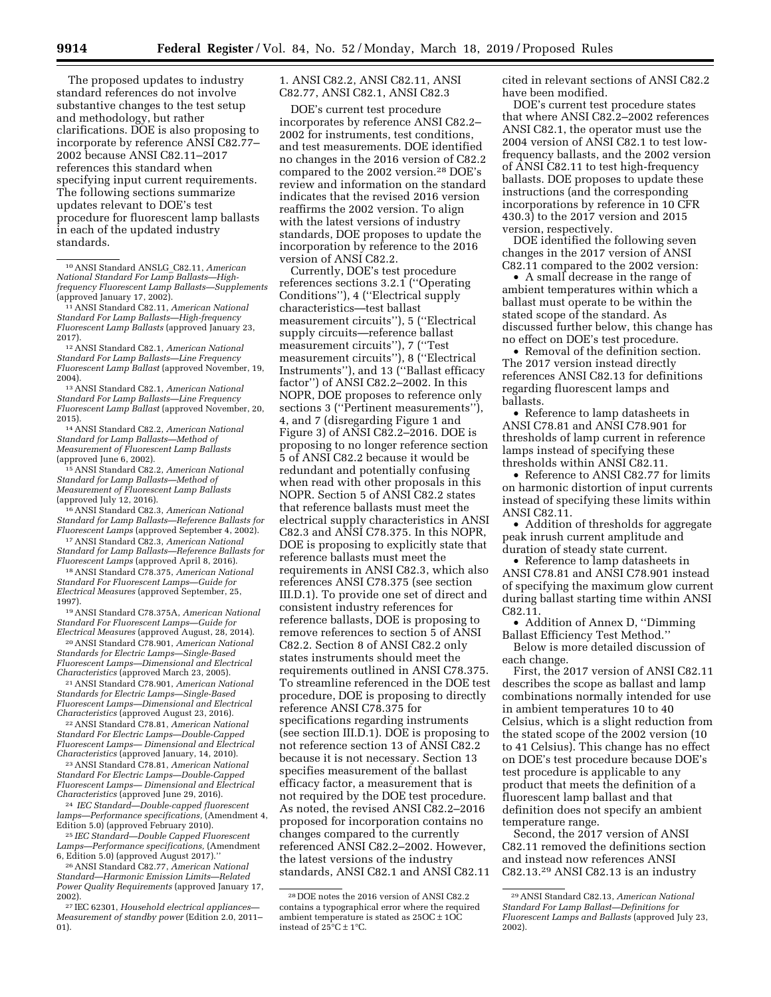The proposed updates to industry standard references do not involve substantive changes to the test setup and methodology, but rather clarifications. DOE is also proposing to incorporate by reference ANSI C82.77– 2002 because ANSI C82.11–2017 references this standard when specifying input current requirements. The following sections summarize updates relevant to DOE's test procedure for fluorescent lamp ballasts in each of the updated industry standards.

<sup>11</sup> ANSI Standard C82.11, *American National Standard For Lamp Ballasts—High-frequency Fluorescent Lamp Ballasts* (approved January 23, 2017). 12ANSI Standard C82.1, *American National* 

*Standard For Lamp Ballasts—Line Frequency Fluorescent Lamp Ballast* (approved November, 19,

<sup>13</sup> ANSI Standard C82.1, *American National Standard For Lamp Ballasts—Line Frequency Fluorescent Lamp Ballast* (approved November, 20, 2015). 14ANSI Standard C82.2, *American National* 

*Standard for Lamp Ballasts—Method of Measurement of Fluorescent Lamp Ballasts* 

<sup>15</sup> ANSI Standard C82.2, *American National Standard for Lamp Ballasts—Method of Measurement of Fluorescent Lamp Ballasts* 

<sup>16</sup> ANSI Standard C82.3, *American National Standard for Lamp Ballasts—Reference Ballasts for* 

<sup>17</sup> ANSI Standard C82.3, *American National Standard for Lamp Ballasts—Reference Ballasts for* 

<sup>18</sup> ANSI Standard C78.375, *American National Standard For Fluorescent Lamps—Guide for Electrical Measures* (approved September, 25,

1997). 19ANSI Standard C78.375A, *American National Standard For Fluorescent Lamps—Guide for* 

*Electrical Measures* (approved August, 28, 2014). 20ANSI Standard C78.901, *American National Standards for Electric Lamps—Single-Based Fluorescent Lamps—Dimensional and Electrical Characteristics* (approved March 23, 2005). 21ANSI Standard C78.901, *American National* 

*Standards for Electric Lamps—Single-Based Fluorescent Lamps—Dimensional and Electrical* 

<sup>22</sup> ANSI Standard C78.81, *American National Standard For Electric Lamps—Double-Capped Fluorescent Lamps— Dimensional and Electrical* 

<sup>23</sup> ANSI Standard C78.81, *American National Standard For Electric Lamps—Double-Capped Fluorescent Lamps— Dimensional and Electrical* 

<sup>24</sup> *IEC Standard—Double-capped fluorescent lamps—Performance specifications,* (Amendment 4,

<sup>25</sup> IEC Standard—Double Capped Fluorescent *Lamps—Performance specifications,* (Amendment

<sup>26</sup> ANSI Standard C82.77, *American National Standard—Harmonic Emission Limits—Related Power Quality Requirements* (approved January 17, 2002). 27 IEC 62301, *Household electrical appliances—*  1. ANSI C82.2, ANSI C82.11, ANSI C82.77, ANSI C82.1, ANSI C82.3

DOE's current test procedure incorporates by reference ANSI C82.2– 2002 for instruments, test conditions, and test measurements. DOE identified no changes in the 2016 version of C82.2 compared to the 2002 version.28 DOE's review and information on the standard indicates that the revised 2016 version reaffirms the 2002 version. To align with the latest versions of industry standards, DOE proposes to update the incorporation by reference to the 2016 version of ANSI C82.2.

Currently, DOE's test procedure references sections 3.2.1 (''Operating Conditions''), 4 (''Electrical supply characteristics—test ballast measurement circuits''), 5 (''Electrical supply circuits—reference ballast measurement circuits''), 7 (''Test measurement circuits''), 8 (''Electrical Instruments''), and 13 (''Ballast efficacy factor'') of ANSI C82.2–2002. In this NOPR, DOE proposes to reference only sections 3 (''Pertinent measurements''), 4, and 7 (disregarding Figure 1 and Figure 3) of ANSI C82.2–2016. DOE is proposing to no longer reference section 5 of ANSI C82.2 because it would be redundant and potentially confusing when read with other proposals in this NOPR. Section 5 of ANSI C82.2 states that reference ballasts must meet the electrical supply characteristics in ANSI C82.3 and ANSI C78.375. In this NOPR, DOE is proposing to explicitly state that reference ballasts must meet the requirements in ANSI C82.3, which also references ANSI C78.375 (see section III.D.1). To provide one set of direct and consistent industry references for reference ballasts, DOE is proposing to remove references to section 5 of ANSI C82.2. Section 8 of ANSI C82.2 only states instruments should meet the requirements outlined in ANSI C78.375. To streamline referenced in the DOE test procedure, DOE is proposing to directly reference ANSI C78.375 for specifications regarding instruments (see section III.D.1). DOE is proposing to not reference section 13 of ANSI C82.2 because it is not necessary. Section 13 specifies measurement of the ballast efficacy factor, a measurement that is not required by the DOE test procedure. As noted, the revised ANSI C82.2–2016 proposed for incorporation contains no changes compared to the currently referenced ANSI C82.2–2002. However, the latest versions of the industry standards, ANSI C82.1 and ANSI C82.11

cited in relevant sections of ANSI C82.2 have been modified.

DOE's current test procedure states that where ANSI C82.2–2002 references ANSI C82.1, the operator must use the 2004 version of ANSI C82.1 to test lowfrequency ballasts, and the 2002 version of ANSI C82.11 to test high-frequency ballasts. DOE proposes to update these instructions (and the corresponding incorporations by reference in 10 CFR 430.3) to the 2017 version and 2015 version, respectively.

DOE identified the following seven changes in the 2017 version of ANSI C82.11 compared to the 2002 version:

• A small decrease in the range of ambient temperatures within which a ballast must operate to be within the stated scope of the standard. As discussed further below, this change has no effect on DOE's test procedure.

• Removal of the definition section. The 2017 version instead directly references ANSI C82.13 for definitions regarding fluorescent lamps and ballasts.

• Reference to lamp datasheets in ANSI C78.81 and ANSI C78.901 for thresholds of lamp current in reference lamps instead of specifying these thresholds within ANSI C82.11.

• Reference to ANSI C82.77 for limits on harmonic distortion of input currents instead of specifying these limits within ANSI C82.11.

• Addition of thresholds for aggregate peak inrush current amplitude and duration of steady state current.

• Reference to lamp datasheets in ANSI C78.81 and ANSI C78.901 instead of specifying the maximum glow current during ballast starting time within ANSI C82.11.

• Addition of Annex D, ''Dimming Ballast Efficiency Test Method.''

Below is more detailed discussion of each change.

First, the 2017 version of ANSI C82.11 describes the scope as ballast and lamp combinations normally intended for use in ambient temperatures 10 to 40 Celsius, which is a slight reduction from the stated scope of the 2002 version (10 to 41 Celsius). This change has no effect on DOE's test procedure because DOE's test procedure is applicable to any product that meets the definition of a fluorescent lamp ballast and that definition does not specify an ambient temperature range.

Second, the 2017 version of ANSI C82.11 removed the definitions section and instead now references ANSI C82.13.29 ANSI C82.13 is an industry

<sup>10</sup>ANSI Standard ANSLG\_C82.11, *American National Standard For Lamp Ballasts—Highfrequency Fluorescent Lamp Ballasts—Supplements* 

*Measurement of standby power* (Edition 2.0, 2011– 01).

<sup>28</sup> DOE notes the 2016 version of ANSI C82.2 contains a typographical error where the required ambient temperature is stated as  $250C \pm 10C$ instead of  $25^{\circ}C \pm 1^{\circ}C$ .

<sup>29</sup>ANSI Standard C82.13, *American National Standard For Lamp Ballast—Definitions for Fluorescent Lamps and Ballasts* (approved July 23, 2002).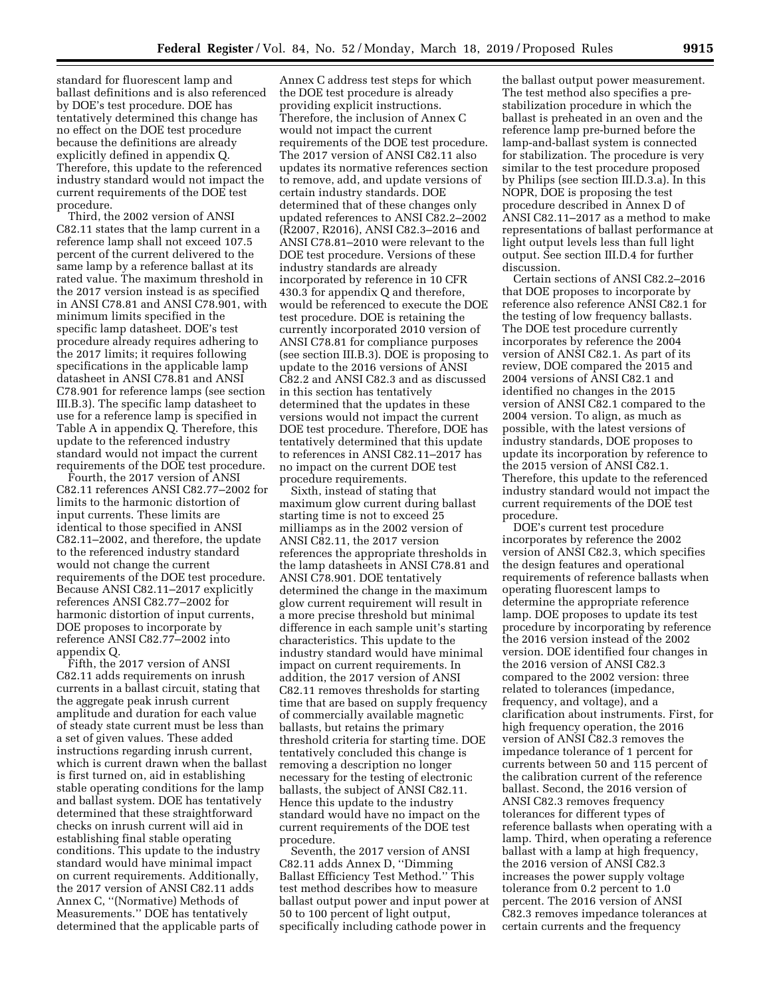standard for fluorescent lamp and ballast definitions and is also referenced by DOE's test procedure. DOE has tentatively determined this change has no effect on the DOE test procedure because the definitions are already explicitly defined in appendix Q. Therefore, this update to the referenced industry standard would not impact the current requirements of the DOE test procedure.

Third, the 2002 version of ANSI C82.11 states that the lamp current in a reference lamp shall not exceed 107.5 percent of the current delivered to the same lamp by a reference ballast at its rated value. The maximum threshold in the 2017 version instead is as specified in ANSI C78.81 and ANSI C78.901, with minimum limits specified in the specific lamp datasheet. DOE's test procedure already requires adhering to the 2017 limits; it requires following specifications in the applicable lamp datasheet in ANSI C78.81 and ANSI C78.901 for reference lamps (see section III.B.3). The specific lamp datasheet to use for a reference lamp is specified in Table A in appendix Q. Therefore, this update to the referenced industry standard would not impact the current requirements of the DOE test procedure.

Fourth, the 2017 version of ANSI C82.11 references ANSI C82.77–2002 for limits to the harmonic distortion of input currents. These limits are identical to those specified in ANSI C82.11–2002, and therefore, the update to the referenced industry standard would not change the current requirements of the DOE test procedure. Because ANSI C82.11–2017 explicitly references ANSI C82.77–2002 for harmonic distortion of input currents, DOE proposes to incorporate by reference ANSI C82.77–2002 into appendix Q.

Fifth, the 2017 version of ANSI C82.11 adds requirements on inrush currents in a ballast circuit, stating that the aggregate peak inrush current amplitude and duration for each value of steady state current must be less than a set of given values. These added instructions regarding inrush current, which is current drawn when the ballast is first turned on, aid in establishing stable operating conditions for the lamp and ballast system. DOE has tentatively determined that these straightforward checks on inrush current will aid in establishing final stable operating conditions. This update to the industry standard would have minimal impact on current requirements. Additionally, the 2017 version of ANSI C82.11 adds Annex C, ''(Normative) Methods of Measurements.'' DOE has tentatively determined that the applicable parts of

Annex C address test steps for which the DOE test procedure is already providing explicit instructions. Therefore, the inclusion of Annex C would not impact the current requirements of the DOE test procedure. The 2017 version of ANSI C82.11 also updates its normative references section to remove, add, and update versions of certain industry standards. DOE determined that of these changes only updated references to ANSI C82.2–2002 (R2007, R2016), ANSI C82.3–2016 and ANSI C78.81–2010 were relevant to the DOE test procedure. Versions of these industry standards are already incorporated by reference in 10 CFR 430.3 for appendix Q and therefore, would be referenced to execute the DOE test procedure. DOE is retaining the currently incorporated 2010 version of ANSI C78.81 for compliance purposes (see section III.B.3). DOE is proposing to update to the 2016 versions of ANSI C82.2 and ANSI C82.3 and as discussed in this section has tentatively determined that the updates in these versions would not impact the current DOE test procedure. Therefore, DOE has tentatively determined that this update to references in ANSI C82.11–2017 has no impact on the current DOE test procedure requirements.

Sixth, instead of stating that maximum glow current during ballast starting time is not to exceed 25 milliamps as in the 2002 version of ANSI C82.11, the 2017 version references the appropriate thresholds in the lamp datasheets in ANSI C78.81 and ANSI C78.901. DOE tentatively determined the change in the maximum glow current requirement will result in a more precise threshold but minimal difference in each sample unit's starting characteristics. This update to the industry standard would have minimal impact on current requirements. In addition, the 2017 version of ANSI C82.11 removes thresholds for starting time that are based on supply frequency of commercially available magnetic ballasts, but retains the primary threshold criteria for starting time. DOE tentatively concluded this change is removing a description no longer necessary for the testing of electronic ballasts, the subject of ANSI C82.11. Hence this update to the industry standard would have no impact on the current requirements of the DOE test procedure.

Seventh, the 2017 version of ANSI C82.11 adds Annex D, ''Dimming Ballast Efficiency Test Method.'' This test method describes how to measure ballast output power and input power at 50 to 100 percent of light output, specifically including cathode power in

the ballast output power measurement. The test method also specifies a prestabilization procedure in which the ballast is preheated in an oven and the reference lamp pre-burned before the lamp-and-ballast system is connected for stabilization. The procedure is very similar to the test procedure proposed by Philips (see section III.D.3.a). In this NOPR, DOE is proposing the test procedure described in Annex D of ANSI C82.11–2017 as a method to make representations of ballast performance at light output levels less than full light output. See section III.D.4 for further discussion.

Certain sections of ANSI C82.2–2016 that DOE proposes to incorporate by reference also reference ANSI C82.1 for the testing of low frequency ballasts. The DOE test procedure currently incorporates by reference the 2004 version of ANSI C82.1. As part of its review, DOE compared the 2015 and 2004 versions of ANSI C82.1 and identified no changes in the 2015 version of ANSI C82.1 compared to the 2004 version. To align, as much as possible, with the latest versions of industry standards, DOE proposes to update its incorporation by reference to the 2015 version of ANSI C82.1. Therefore, this update to the referenced industry standard would not impact the current requirements of the DOE test procedure.

DOE's current test procedure incorporates by reference the 2002 version of ANSI C82.3, which specifies the design features and operational requirements of reference ballasts when operating fluorescent lamps to determine the appropriate reference lamp. DOE proposes to update its test procedure by incorporating by reference the 2016 version instead of the 2002 version. DOE identified four changes in the 2016 version of ANSI C82.3 compared to the 2002 version: three related to tolerances (impedance, frequency, and voltage), and a clarification about instruments. First, for high frequency operation, the 2016 version of ANSI C82.3 removes the impedance tolerance of 1 percent for currents between 50 and 115 percent of the calibration current of the reference ballast. Second, the 2016 version of ANSI C82.3 removes frequency tolerances for different types of reference ballasts when operating with a lamp. Third, when operating a reference ballast with a lamp at high frequency, the 2016 version of ANSI C82.3 increases the power supply voltage tolerance from 0.2 percent to 1.0 percent. The 2016 version of ANSI C82.3 removes impedance tolerances at certain currents and the frequency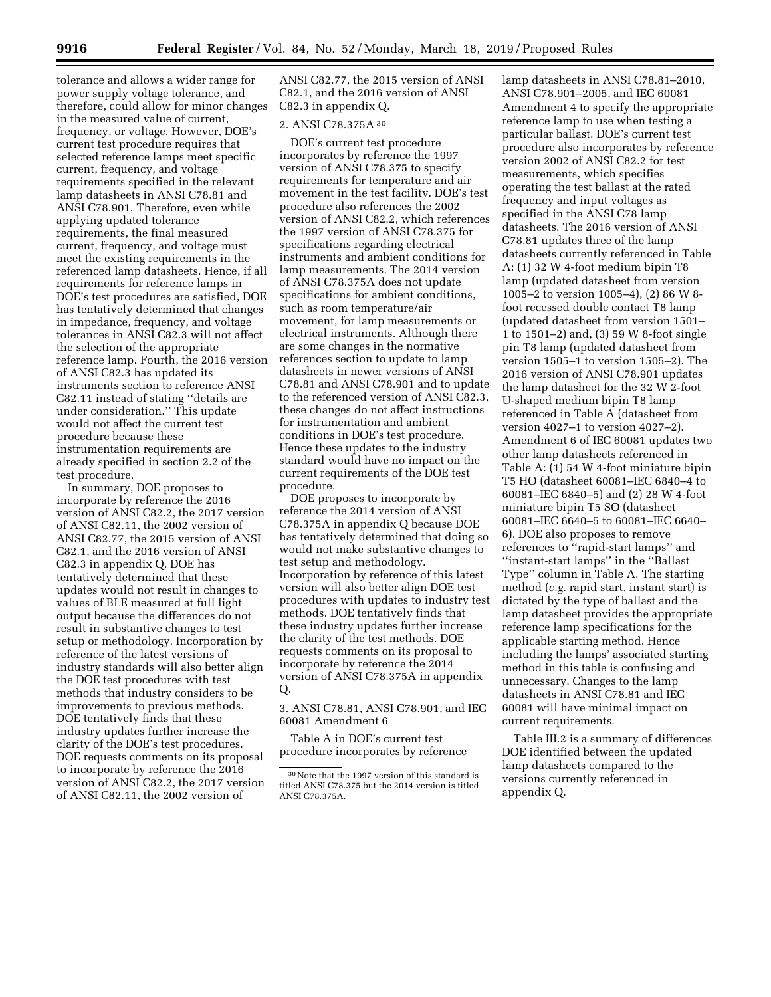tolerance and allows a wider range for power supply voltage tolerance, and therefore, could allow for minor changes in the measured value of current, frequency, or voltage. However, DOE's current test procedure requires that selected reference lamps meet specific current, frequency, and voltage requirements specified in the relevant lamp datasheets in ANSI C78.81 and ANSI C78.901. Therefore, even while applying updated tolerance requirements, the final measured current, frequency, and voltage must meet the existing requirements in the referenced lamp datasheets. Hence, if all requirements for reference lamps in DOE's test procedures are satisfied, DOE has tentatively determined that changes in impedance, frequency, and voltage tolerances in ANSI C82.3 will not affect the selection of the appropriate reference lamp. Fourth, the 2016 version of ANSI C82.3 has updated its instruments section to reference ANSI C82.11 instead of stating ''details are under consideration.'' This update would not affect the current test procedure because these instrumentation requirements are already specified in section 2.2 of the test procedure.

In summary, DOE proposes to incorporate by reference the 2016 version of ANSI C82.2, the 2017 version of ANSI C82.11, the 2002 version of ANSI C82.77, the 2015 version of ANSI C82.1, and the 2016 version of ANSI C82.3 in appendix Q. DOE has tentatively determined that these updates would not result in changes to values of BLE measured at full light output because the differences do not result in substantive changes to test setup or methodology. Incorporation by reference of the latest versions of industry standards will also better align the DOE test procedures with test methods that industry considers to be improvements to previous methods. DOE tentatively finds that these industry updates further increase the clarity of the DOE's test procedures. DOE requests comments on its proposal to incorporate by reference the 2016 version of ANSI C82.2, the 2017 version of ANSI C82.11, the 2002 version of

ANSI C82.77, the 2015 version of ANSI C82.1, and the 2016 version of ANSI C82.3 in appendix Q.

# 2. ANSI C78.375A 30

DOE's current test procedure incorporates by reference the 1997 version of ANSI C78.375 to specify requirements for temperature and air movement in the test facility. DOE's test procedure also references the 2002 version of ANSI C82.2, which references the 1997 version of ANSI C78.375 for specifications regarding electrical instruments and ambient conditions for lamp measurements. The 2014 version of ANSI C78.375A does not update specifications for ambient conditions, such as room temperature/air movement, for lamp measurements or electrical instruments. Although there are some changes in the normative references section to update to lamp datasheets in newer versions of ANSI C78.81 and ANSI C78.901 and to update to the referenced version of ANSI C82.3, these changes do not affect instructions for instrumentation and ambient conditions in DOE's test procedure. Hence these updates to the industry standard would have no impact on the current requirements of the DOE test procedure.

DOE proposes to incorporate by reference the 2014 version of ANSI C78.375A in appendix Q because DOE has tentatively determined that doing so would not make substantive changes to test setup and methodology. Incorporation by reference of this latest version will also better align DOE test procedures with updates to industry test methods. DOE tentatively finds that these industry updates further increase the clarity of the test methods. DOE requests comments on its proposal to incorporate by reference the 2014 version of ANSI C78.375A in appendix Q.

3. ANSI C78.81, ANSI C78.901, and IEC 60081 Amendment 6

Table A in DOE's current test procedure incorporates by reference

lamp datasheets in ANSI C78.81–2010, ANSI C78.901–2005, and IEC 60081 Amendment 4 to specify the appropriate reference lamp to use when testing a particular ballast. DOE's current test procedure also incorporates by reference version 2002 of ANSI C82.2 for test measurements, which specifies operating the test ballast at the rated frequency and input voltages as specified in the ANSI C78 lamp datasheets. The 2016 version of ANSI C78.81 updates three of the lamp datasheets currently referenced in Table A: (1) 32 W 4-foot medium bipin T8 lamp (updated datasheet from version 1005–2 to version 1005–4), (2) 86 W 8 foot recessed double contact T8 lamp (updated datasheet from version 1501– 1 to 1501–2) and, (3) 59 W 8-foot single pin T8 lamp (updated datasheet from version 1505–1 to version 1505–2). The 2016 version of ANSI C78.901 updates the lamp datasheet for the 32 W 2-foot U-shaped medium bipin T8 lamp referenced in Table A (datasheet from version 4027–1 to version 4027–2). Amendment 6 of IEC 60081 updates two other lamp datasheets referenced in Table A: (1) 54 W 4-foot miniature bipin T5 HO (datasheet 60081–IEC 6840–4 to 60081–IEC 6840–5) and (2) 28 W 4-foot miniature bipin T5 SO (datasheet 60081–IEC 6640–5 to 60081–IEC 6640– 6). DOE also proposes to remove references to ''rapid-start lamps'' and ''instant-start lamps'' in the ''Ballast Type'' column in Table A. The starting method (*e.g.* rapid start, instant start) is dictated by the type of ballast and the lamp datasheet provides the appropriate reference lamp specifications for the applicable starting method. Hence including the lamps' associated starting method in this table is confusing and unnecessary. Changes to the lamp datasheets in ANSI C78.81 and IEC 60081 will have minimal impact on current requirements.

Table III.2 is a summary of differences DOE identified between the updated lamp datasheets compared to the versions currently referenced in appendix Q.

<sup>30</sup>Note that the 1997 version of this standard is titled ANSI C78.375 but the 2014 version is titled ANSI C78.375A.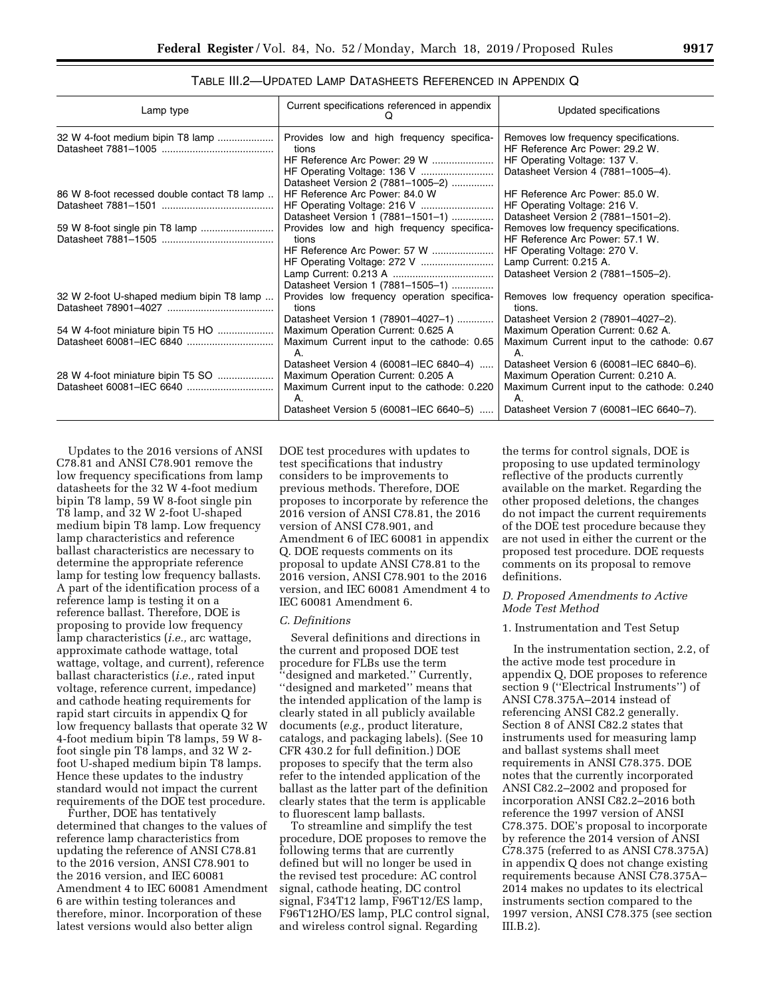# TABLE III.2—UPDATED LAMP DATASHEETS REFERENCED IN APPENDIX Q

| Lamp type                                   | Current specifications referenced in appendix                                            | Updated specifications                                                                                                                         |
|---------------------------------------------|------------------------------------------------------------------------------------------|------------------------------------------------------------------------------------------------------------------------------------------------|
| 32 W 4-foot medium bipin T8 lamp            | Provides low and high frequency specifica-<br>tions<br>Datasheet Version 2 (7881-1005-2) | Removes low frequency specifications.<br>HF Reference Arc Power: 29.2 W.<br>HF Operating Voltage: 137 V.<br>Datasheet Version 4 (7881-1005-4). |
| 86 W 8-foot recessed double contact T8 lamp | HF Reference Arc Power: 84.0 W                                                           | HF Reference Arc Power: 85.0 W.                                                                                                                |
|                                             |                                                                                          | HF Operating Voltage: 216 V.                                                                                                                   |
|                                             | Datasheet Version 1 (7881-1501-1)                                                        | Datasheet Version 2 (7881-1501-2).                                                                                                             |
| 59 W 8-foot single pin T8 lamp              | Provides low and high frequency specifica-                                               | Removes low frequency specifications.                                                                                                          |
|                                             | tions<br>HF Reference Arc Power: 57 W                                                    | HF Reference Arc Power: 57.1 W.                                                                                                                |
|                                             |                                                                                          | HF Operating Voltage: 270 V.<br>Lamp Current: 0.215 A.                                                                                         |
|                                             | Datasheet Version 1 (7881-1505-1)                                                        | Datasheet Version 2 (7881-1505-2).                                                                                                             |
| 32 W 2-foot U-shaped medium bipin T8 lamp   | Provides low frequency operation specifica-                                              | Removes low frequency operation specifica-                                                                                                     |
|                                             | tions                                                                                    | tions.                                                                                                                                         |
|                                             | Datasheet Version 1 (78901-4027-1)                                                       | Datasheet Version 2 (78901-4027-2).                                                                                                            |
|                                             | Maximum Operation Current: 0.625 A                                                       | Maximum Operation Current: 0.62 A.                                                                                                             |
|                                             | Maximum Current input to the cathode: 0.65<br>Α.                                         | Maximum Current input to the cathode: 0.67<br>А.                                                                                               |
|                                             | Datasheet Version 4 (60081-IEC 6840-4)                                                   | Datasheet Version 6 (60081-IEC 6840-6).                                                                                                        |
| 28 W 4-foot miniature bipin T5 SO           | Maximum Operation Current: 0.205 A                                                       | Maximum Operation Current: 0.210 A.                                                                                                            |
|                                             | Maximum Current input to the cathode: 0.220<br>А.                                        | Maximum Current input to the cathode: 0.240<br>Α.                                                                                              |
|                                             | Datasheet Version 5 (60081-IEC 6640-5)                                                   | Datasheet Version 7 (60081-IEC 6640-7).                                                                                                        |

Updates to the 2016 versions of ANSI C78.81 and ANSI C78.901 remove the low frequency specifications from lamp datasheets for the 32 W 4-foot medium bipin T8 lamp, 59 W 8-foot single pin T8 lamp, and 32 W 2-foot U-shaped medium bipin T8 lamp. Low frequency lamp characteristics and reference ballast characteristics are necessary to determine the appropriate reference lamp for testing low frequency ballasts. A part of the identification process of a reference lamp is testing it on a reference ballast. Therefore, DOE is proposing to provide low frequency lamp characteristics (*i.e.,* arc wattage, approximate cathode wattage, total wattage, voltage, and current), reference ballast characteristics (*i.e.,* rated input voltage, reference current, impedance) and cathode heating requirements for rapid start circuits in appendix Q for low frequency ballasts that operate 32 W 4-foot medium bipin T8 lamps, 59 W 8 foot single pin T8 lamps, and 32 W 2 foot U-shaped medium bipin T8 lamps. Hence these updates to the industry standard would not impact the current requirements of the DOE test procedure.

Further, DOE has tentatively determined that changes to the values of reference lamp characteristics from updating the reference of ANSI C78.81 to the 2016 version, ANSI C78.901 to the 2016 version, and IEC 60081 Amendment 4 to IEC 60081 Amendment 6 are within testing tolerances and therefore, minor. Incorporation of these latest versions would also better align

DOE test procedures with updates to test specifications that industry considers to be improvements to previous methods. Therefore, DOE proposes to incorporate by reference the 2016 version of ANSI C78.81, the 2016 version of ANSI C78.901, and Amendment 6 of IEC 60081 in appendix Q. DOE requests comments on its proposal to update ANSI C78.81 to the 2016 version, ANSI C78.901 to the 2016 version, and IEC 60081 Amendment 4 to IEC 60081 Amendment 6.

#### *C. Definitions*

Several definitions and directions in the current and proposed DOE test procedure for FLBs use the term ''designed and marketed.'' Currently, ''designed and marketed'' means that the intended application of the lamp is clearly stated in all publicly available documents (*e.g.,* product literature, catalogs, and packaging labels). (See 10 CFR 430.2 for full definition.) DOE proposes to specify that the term also refer to the intended application of the ballast as the latter part of the definition clearly states that the term is applicable to fluorescent lamp ballasts.

To streamline and simplify the test procedure, DOE proposes to remove the following terms that are currently defined but will no longer be used in the revised test procedure: AC control signal, cathode heating, DC control signal, F34T12 lamp, F96T12/ES lamp, F96T12HO/ES lamp, PLC control signal, and wireless control signal. Regarding

the terms for control signals, DOE is proposing to use updated terminology reflective of the products currently available on the market. Regarding the other proposed deletions, the changes do not impact the current requirements of the DOE test procedure because they are not used in either the current or the proposed test procedure. DOE requests comments on its proposal to remove definitions.

## *D. Proposed Amendments to Active Mode Test Method*

#### 1. Instrumentation and Test Setup

In the instrumentation section, 2.2, of the active mode test procedure in appendix Q, DOE proposes to reference section 9 (''Electrical Instruments'') of ANSI C78.375A–2014 instead of referencing ANSI C82.2 generally. Section 8 of ANSI C82.2 states that instruments used for measuring lamp and ballast systems shall meet requirements in ANSI C78.375. DOE notes that the currently incorporated ANSI C82.2–2002 and proposed for incorporation ANSI C82.2–2016 both reference the 1997 version of ANSI C78.375. DOE's proposal to incorporate by reference the 2014 version of ANSI C78.375 (referred to as ANSI C78.375A) in appendix Q does not change existing requirements because ANSI C78.375A– 2014 makes no updates to its electrical instruments section compared to the 1997 version, ANSI C78.375 (see section III.B.2).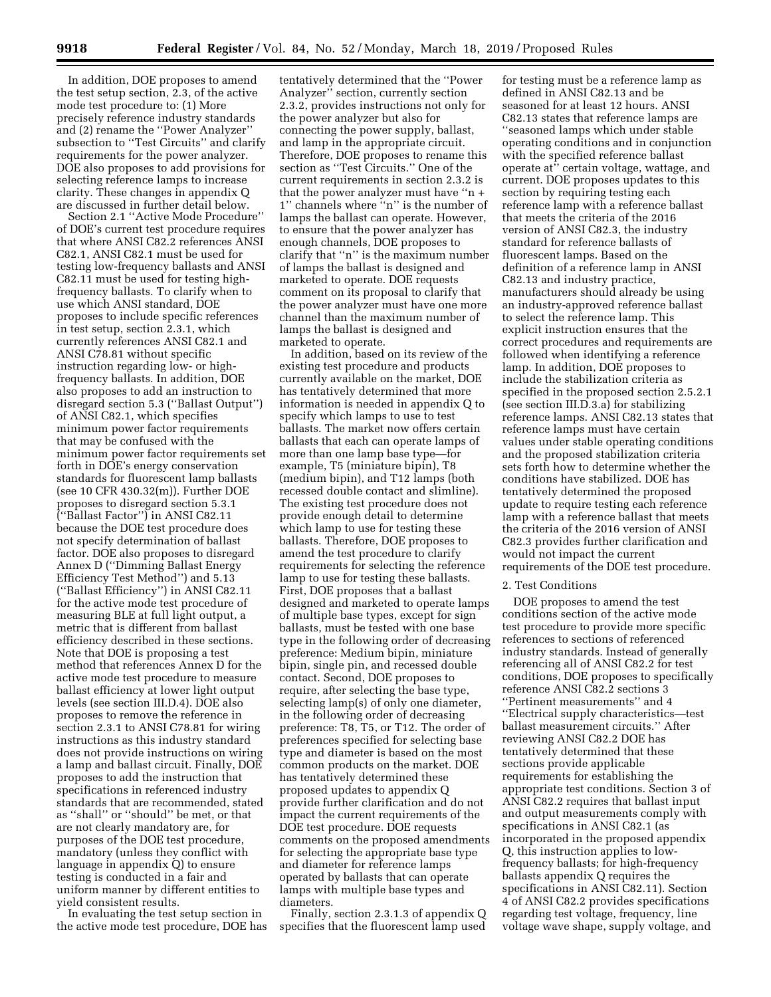In addition, DOE proposes to amend the test setup section, 2.3, of the active mode test procedure to: (1) More precisely reference industry standards and (2) rename the ''Power Analyzer'' subsection to ''Test Circuits'' and clarify requirements for the power analyzer. DOE also proposes to add provisions for selecting reference lamps to increase clarity. These changes in appendix Q are discussed in further detail below.

Section 2.1 ''Active Mode Procedure'' of DOE's current test procedure requires that where ANSI C82.2 references ANSI C82.1, ANSI C82.1 must be used for testing low-frequency ballasts and ANSI C82.11 must be used for testing highfrequency ballasts. To clarify when to use which ANSI standard, DOE proposes to include specific references in test setup, section 2.3.1, which currently references ANSI C82.1 and ANSI C78.81 without specific instruction regarding low- or highfrequency ballasts. In addition, DOE also proposes to add an instruction to disregard section 5.3 (''Ballast Output'') of ANSI C82.1, which specifies minimum power factor requirements that may be confused with the minimum power factor requirements set forth in DOE's energy conservation standards for fluorescent lamp ballasts (see 10 CFR 430.32(m)). Further DOE proposes to disregard section 5.3.1 (''Ballast Factor'') in ANSI C82.11 because the DOE test procedure does not specify determination of ballast factor. DOE also proposes to disregard Annex D (''Dimming Ballast Energy Efficiency Test Method'') and 5.13 (''Ballast Efficiency'') in ANSI C82.11 for the active mode test procedure of measuring BLE at full light output, a metric that is different from ballast efficiency described in these sections. Note that DOE is proposing a test method that references Annex D for the active mode test procedure to measure ballast efficiency at lower light output levels (see section III.D.4). DOE also proposes to remove the reference in section 2.3.1 to ANSI C78.81 for wiring instructions as this industry standard does not provide instructions on wiring a lamp and ballast circuit. Finally, DOE proposes to add the instruction that specifications in referenced industry standards that are recommended, stated as ''shall'' or ''should'' be met, or that are not clearly mandatory are, for purposes of the DOE test procedure, mandatory (unless they conflict with language in appendix Q) to ensure testing is conducted in a fair and uniform manner by different entities to yield consistent results.

In evaluating the test setup section in the active mode test procedure, DOE has

tentatively determined that the ''Power Analyzer'' section, currently section 2.3.2, provides instructions not only for the power analyzer but also for connecting the power supply, ballast, and lamp in the appropriate circuit. Therefore, DOE proposes to rename this section as ''Test Circuits.'' One of the current requirements in section 2.3.2 is that the power analyzer must have ''n + 1'' channels where ''n'' is the number of lamps the ballast can operate. However, to ensure that the power analyzer has enough channels, DOE proposes to clarify that ''n'' is the maximum number of lamps the ballast is designed and marketed to operate. DOE requests comment on its proposal to clarify that the power analyzer must have one more channel than the maximum number of lamps the ballast is designed and marketed to operate.

In addition, based on its review of the existing test procedure and products currently available on the market, DOE has tentatively determined that more information is needed in appendix Q to specify which lamps to use to test ballasts. The market now offers certain ballasts that each can operate lamps of more than one lamp base type—for example, T5 (miniature bipin), T8 (medium bipin), and T12 lamps (both recessed double contact and slimline). The existing test procedure does not provide enough detail to determine which lamp to use for testing these ballasts. Therefore, DOE proposes to amend the test procedure to clarify requirements for selecting the reference lamp to use for testing these ballasts. First, DOE proposes that a ballast designed and marketed to operate lamps of multiple base types, except for sign ballasts, must be tested with one base type in the following order of decreasing preference: Medium bipin, miniature bipin, single pin, and recessed double contact. Second, DOE proposes to require, after selecting the base type, selecting lamp(s) of only one diameter, in the following order of decreasing preference: T8, T5, or T12. The order of preferences specified for selecting base type and diameter is based on the most common products on the market. DOE has tentatively determined these proposed updates to appendix Q provide further clarification and do not impact the current requirements of the DOE test procedure. DOE requests comments on the proposed amendments for selecting the appropriate base type and diameter for reference lamps operated by ballasts that can operate lamps with multiple base types and diameters.

Finally, section 2.3.1.3 of appendix Q specifies that the fluorescent lamp used

for testing must be a reference lamp as defined in ANSI C82.13 and be seasoned for at least 12 hours. ANSI C82.13 states that reference lamps are ''seasoned lamps which under stable operating conditions and in conjunction with the specified reference ballast operate at'' certain voltage, wattage, and current. DOE proposes updates to this section by requiring testing each reference lamp with a reference ballast that meets the criteria of the 2016 version of ANSI C82.3, the industry standard for reference ballasts of fluorescent lamps. Based on the definition of a reference lamp in ANSI C82.13 and industry practice, manufacturers should already be using an industry-approved reference ballast to select the reference lamp. This explicit instruction ensures that the correct procedures and requirements are followed when identifying a reference lamp. In addition, DOE proposes to include the stabilization criteria as specified in the proposed section 2.5.2.1 (see section III.D.3.a) for stabilizing reference lamps. ANSI C82.13 states that reference lamps must have certain values under stable operating conditions and the proposed stabilization criteria sets forth how to determine whether the conditions have stabilized. DOE has tentatively determined the proposed update to require testing each reference lamp with a reference ballast that meets the criteria of the 2016 version of ANSI C82.3 provides further clarification and would not impact the current requirements of the DOE test procedure.

#### 2. Test Conditions

DOE proposes to amend the test conditions section of the active mode test procedure to provide more specific references to sections of referenced industry standards. Instead of generally referencing all of ANSI C82.2 for test conditions, DOE proposes to specifically reference ANSI C82.2 sections 3 ''Pertinent measurements'' and 4 ''Electrical supply characteristics—test ballast measurement circuits.'' After reviewing ANSI C82.2 DOE has tentatively determined that these sections provide applicable requirements for establishing the appropriate test conditions. Section 3 of ANSI C82.2 requires that ballast input and output measurements comply with specifications in ANSI C82.1 (as incorporated in the proposed appendix Q, this instruction applies to lowfrequency ballasts; for high-frequency ballasts appendix Q requires the specifications in ANSI C82.11). Section 4 of ANSI C82.2 provides specifications regarding test voltage, frequency, line voltage wave shape, supply voltage, and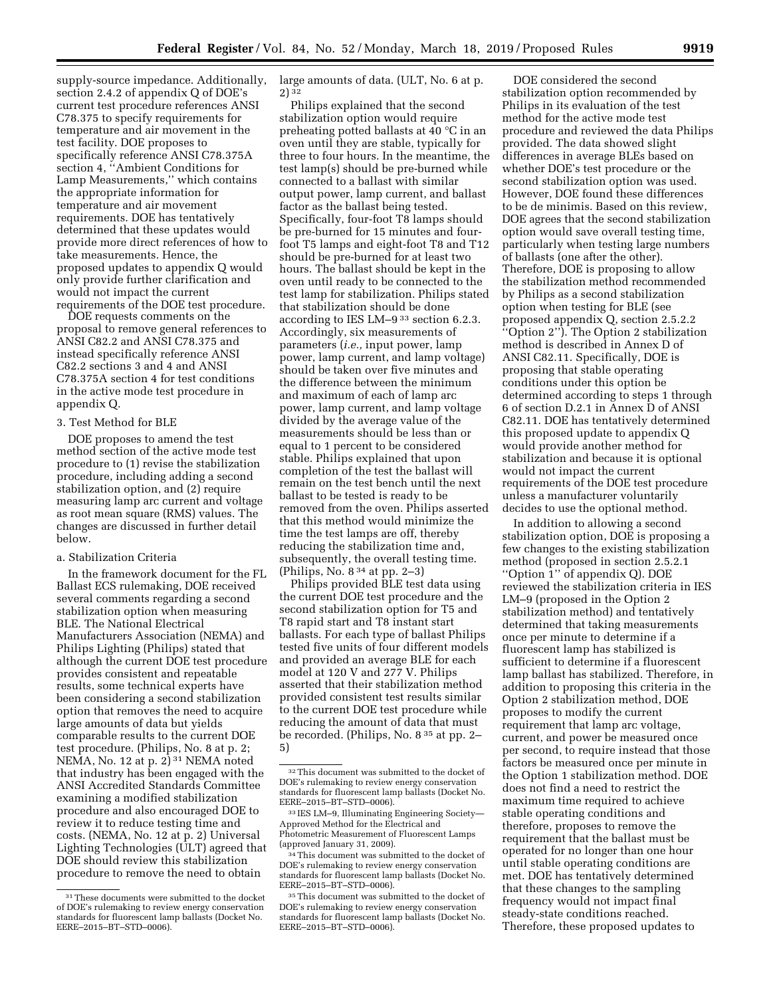supply-source impedance. Additionally, section 2.4.2 of appendix Q of DOE's current test procedure references ANSI C78.375 to specify requirements for temperature and air movement in the test facility. DOE proposes to specifically reference ANSI C78.375A section 4, ''Ambient Conditions for Lamp Measurements,'' which contains the appropriate information for temperature and air movement requirements. DOE has tentatively determined that these updates would provide more direct references of how to take measurements. Hence, the proposed updates to appendix Q would only provide further clarification and would not impact the current requirements of the DOE test procedure.

DOE requests comments on the proposal to remove general references to ANSI C82.2 and ANSI C78.375 and instead specifically reference ANSI C82.2 sections 3 and 4 and ANSI C78.375A section 4 for test conditions in the active mode test procedure in appendix Q.

#### 3. Test Method for BLE

DOE proposes to amend the test method section of the active mode test procedure to (1) revise the stabilization procedure, including adding a second stabilization option, and (2) require measuring lamp arc current and voltage as root mean square (RMS) values. The changes are discussed in further detail below.

#### a. Stabilization Criteria

In the framework document for the FL Ballast ECS rulemaking, DOE received several comments regarding a second stabilization option when measuring BLE. The National Electrical Manufacturers Association (NEMA) and Philips Lighting (Philips) stated that although the current DOE test procedure provides consistent and repeatable results, some technical experts have been considering a second stabilization option that removes the need to acquire large amounts of data but yields comparable results to the current DOE test procedure. (Philips, No. 8 at p. 2; NEMA, No. 12 at p.  $2)$ <sup>31</sup> NEMA noted that industry has been engaged with the ANSI Accredited Standards Committee examining a modified stabilization procedure and also encouraged DOE to review it to reduce testing time and costs. (NEMA, No. 12 at p. 2) Universal Lighting Technologies (ULT) agreed that DOE should review this stabilization procedure to remove the need to obtain

large amounts of data. (ULT, No. 6 at p. 2) 32

Philips explained that the second stabilization option would require preheating potted ballasts at 40 °C in an oven until they are stable, typically for three to four hours. In the meantime, the test lamp(s) should be pre-burned while connected to a ballast with similar output power, lamp current, and ballast factor as the ballast being tested. Specifically, four-foot T8 lamps should be pre-burned for 15 minutes and fourfoot T5 lamps and eight-foot T8 and T12 should be pre-burned for at least two hours. The ballast should be kept in the oven until ready to be connected to the test lamp for stabilization. Philips stated that stabilization should be done according to IES LM–9 33 section 6.2.3. Accordingly, six measurements of parameters (*i.e.,* input power, lamp power, lamp current, and lamp voltage) should be taken over five minutes and the difference between the minimum and maximum of each of lamp arc power, lamp current, and lamp voltage divided by the average value of the measurements should be less than or equal to 1 percent to be considered stable. Philips explained that upon completion of the test the ballast will remain on the test bench until the next ballast to be tested is ready to be removed from the oven. Philips asserted that this method would minimize the time the test lamps are off, thereby reducing the stabilization time and, subsequently, the overall testing time. (Philips, No. 8 34 at pp. 2–3)

Philips provided BLE test data using the current DOE test procedure and the second stabilization option for T5 and T8 rapid start and T8 instant start ballasts. For each type of ballast Philips tested five units of four different models and provided an average BLE for each model at 120 V and 277 V. Philips asserted that their stabilization method provided consistent test results similar to the current DOE test procedure while reducing the amount of data that must be recorded. (Philips, No. 8 35 at pp. 2– 5)

DOE considered the second stabilization option recommended by Philips in its evaluation of the test method for the active mode test procedure and reviewed the data Philips provided. The data showed slight differences in average BLEs based on whether DOE's test procedure or the second stabilization option was used. However, DOE found these differences to be de minimis. Based on this review, DOE agrees that the second stabilization option would save overall testing time, particularly when testing large numbers of ballasts (one after the other). Therefore, DOE is proposing to allow the stabilization method recommended by Philips as a second stabilization option when testing for BLE (see proposed appendix Q, section 2.5.2.2 ''Option 2''). The Option 2 stabilization method is described in Annex D of ANSI C82.11. Specifically, DOE is proposing that stable operating conditions under this option be determined according to steps 1 through 6 of section D.2.1 in Annex D of ANSI C82.11. DOE has tentatively determined this proposed update to appendix Q would provide another method for stabilization and because it is optional would not impact the current requirements of the DOE test procedure unless a manufacturer voluntarily decides to use the optional method.

In addition to allowing a second stabilization option, DOE is proposing a few changes to the existing stabilization method (proposed in section 2.5.2.1 ''Option 1'' of appendix Q). DOE reviewed the stabilization criteria in IES LM–9 (proposed in the Option 2 stabilization method) and tentatively determined that taking measurements once per minute to determine if a fluorescent lamp has stabilized is sufficient to determine if a fluorescent lamp ballast has stabilized. Therefore, in addition to proposing this criteria in the Option 2 stabilization method, DOE proposes to modify the current requirement that lamp arc voltage, current, and power be measured once per second, to require instead that those factors be measured once per minute in the Option 1 stabilization method. DOE does not find a need to restrict the maximum time required to achieve stable operating conditions and therefore, proposes to remove the requirement that the ballast must be operated for no longer than one hour until stable operating conditions are met. DOE has tentatively determined that these changes to the sampling frequency would not impact final steady-state conditions reached. Therefore, these proposed updates to

<sup>31</sup>These documents were submitted to the docket of DOE's rulemaking to review energy conservation standards for fluorescent lamp ballasts (Docket No. EERE–2015–BT–STD–0006).

<sup>32</sup>This document was submitted to the docket of DOE's rulemaking to review energy conservation standards for fluorescent lamp ballasts (Docket No. EERE–2015–BT–STD–0006).

<sup>33</sup> IES LM–9, Illuminating Engineering Society— Approved Method for the Electrical and Photometric Measurement of Fluorescent Lamps (approved January 31, 2009).

<sup>34</sup>This document was submitted to the docket of DOE's rulemaking to review energy conservation standards for fluorescent lamp ballasts (Docket No. EERE–2015–BT–STD–0006).

<sup>35</sup>This document was submitted to the docket of DOE's rulemaking to review energy conservation standards for fluorescent lamp ballasts (Docket No. EERE–2015–BT–STD–0006).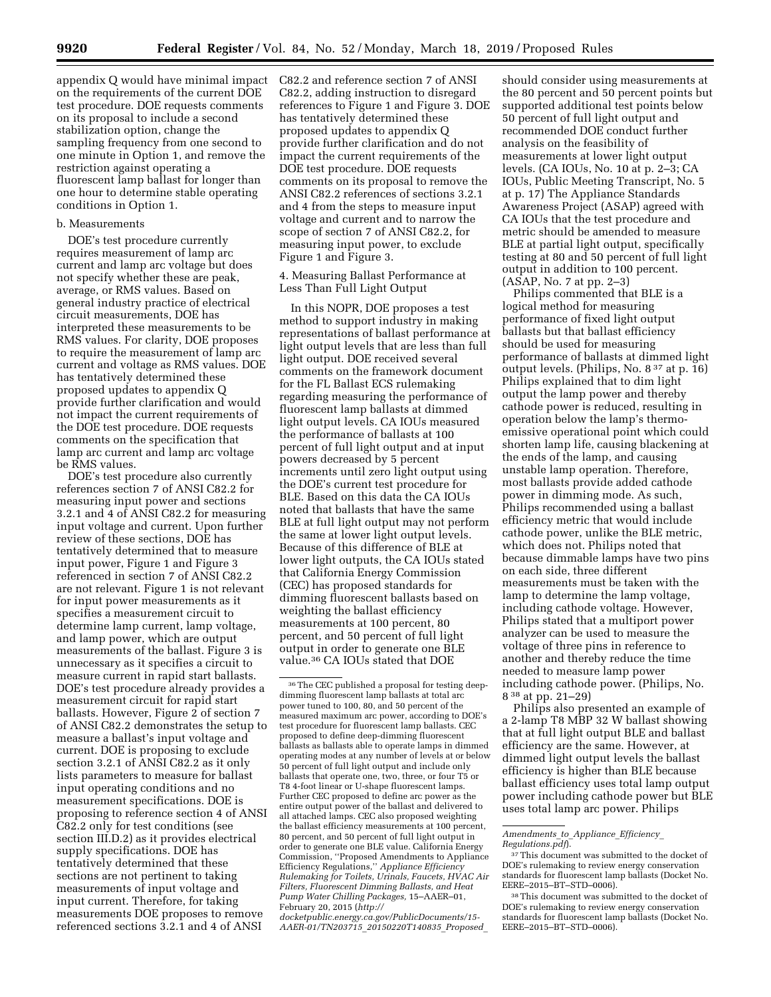on the requirements of the current DOE test procedure. DOE requests comments on its proposal to include a second stabilization option, change the

sampling frequency from one second to one minute in Option 1, and remove the restriction against operating a fluorescent lamp ballast for longer than one hour to determine stable operating conditions in Option 1.

#### b. Measurements

DOE's test procedure currently requires measurement of lamp arc current and lamp arc voltage but does not specify whether these are peak, average, or RMS values. Based on general industry practice of electrical circuit measurements, DOE has interpreted these measurements to be RMS values. For clarity, DOE proposes to require the measurement of lamp arc current and voltage as RMS values. DOE has tentatively determined these proposed updates to appendix Q provide further clarification and would not impact the current requirements of the DOE test procedure. DOE requests comments on the specification that lamp arc current and lamp arc voltage be RMS values.

DOE's test procedure also currently references section 7 of ANSI C82.2 for measuring input power and sections 3.2.1 and 4 of ANSI C82.2 for measuring input voltage and current. Upon further review of these sections, DOE has tentatively determined that to measure input power, Figure 1 and Figure 3 referenced in section 7 of ANSI C82.2 are not relevant. Figure 1 is not relevant for input power measurements as it specifies a measurement circuit to determine lamp current, lamp voltage, and lamp power, which are output measurements of the ballast. Figure 3 is unnecessary as it specifies a circuit to measure current in rapid start ballasts. DOE's test procedure already provides a measurement circuit for rapid start ballasts. However, Figure 2 of section 7 of ANSI C82.2 demonstrates the setup to measure a ballast's input voltage and current. DOE is proposing to exclude section 3.2.1 of ANSI C82.2 as it only lists parameters to measure for ballast input operating conditions and no measurement specifications. DOE is proposing to reference section 4 of ANSI C82.2 only for test conditions (see section III.D.2) as it provides electrical supply specifications. DOE has tentatively determined that these sections are not pertinent to taking measurements of input voltage and input current. Therefore, for taking measurements DOE proposes to remove referenced sections 3.2.1 and 4 of ANSI

appendix Q would have minimal impact C82.2 and reference section 7 of ANSI C82.2, adding instruction to disregard references to Figure 1 and Figure 3. DOE has tentatively determined these proposed updates to appendix Q provide further clarification and do not impact the current requirements of the DOE test procedure. DOE requests comments on its proposal to remove the ANSI C82.2 references of sections 3.2.1 and 4 from the steps to measure input voltage and current and to narrow the scope of section 7 of ANSI C82.2, for measuring input power, to exclude Figure 1 and Figure 3.

# 4. Measuring Ballast Performance at Less Than Full Light Output

In this NOPR, DOE proposes a test method to support industry in making representations of ballast performance at light output levels that are less than full light output. DOE received several comments on the framework document for the FL Ballast ECS rulemaking regarding measuring the performance of fluorescent lamp ballasts at dimmed light output levels. CA IOUs measured the performance of ballasts at 100 percent of full light output and at input powers decreased by 5 percent increments until zero light output using the DOE's current test procedure for BLE. Based on this data the CA IOUs noted that ballasts that have the same BLE at full light output may not perform the same at lower light output levels. Because of this difference of BLE at lower light outputs, the CA IOUs stated that California Energy Commission (CEC) has proposed standards for dimming fluorescent ballasts based on weighting the ballast efficiency measurements at 100 percent, 80 percent, and 50 percent of full light output in order to generate one BLE value.36 CA IOUs stated that DOE

*docketpublic.energy.ca.gov/PublicDocuments/15- AAER-01/TN203715*\_*20150220T140835*\_*Proposed*\_

should consider using measurements at the 80 percent and 50 percent points but supported additional test points below 50 percent of full light output and recommended DOE conduct further analysis on the feasibility of measurements at lower light output levels. (CA IOUs, No. 10 at p. 2–3; CA IOUs, Public Meeting Transcript, No. 5 at p. 17) The Appliance Standards Awareness Project (ASAP) agreed with CA IOUs that the test procedure and metric should be amended to measure BLE at partial light output, specifically testing at 80 and 50 percent of full light output in addition to 100 percent. (ASAP, No. 7 at pp. 2–3)

Philips commented that BLE is a logical method for measuring performance of fixed light output ballasts but that ballast efficiency should be used for measuring performance of ballasts at dimmed light output levels. (Philips, No. 8 37 at p. 16) Philips explained that to dim light output the lamp power and thereby cathode power is reduced, resulting in operation below the lamp's thermoemissive operational point which could shorten lamp life, causing blackening at the ends of the lamp, and causing unstable lamp operation. Therefore, most ballasts provide added cathode power in dimming mode. As such, Philips recommended using a ballast efficiency metric that would include cathode power, unlike the BLE metric, which does not. Philips noted that because dimmable lamps have two pins on each side, three different measurements must be taken with the lamp to determine the lamp voltage, including cathode voltage. However, Philips stated that a multiport power analyzer can be used to measure the voltage of three pins in reference to another and thereby reduce the time needed to measure lamp power including cathode power. (Philips, No. 8 38 at pp. 21–29)

Philips also presented an example of a 2-lamp T8 MBP 32 W ballast showing that at full light output BLE and ballast efficiency are the same. However, at dimmed light output levels the ballast efficiency is higher than BLE because ballast efficiency uses total lamp output power including cathode power but BLE uses total lamp arc power. Philips

<sup>36</sup>The CEC published a proposal for testing deepdimming fluorescent lamp ballasts at total arc power tuned to 100, 80, and 50 percent of the measured maximum arc power, according to DOE's test procedure for fluorescent lamp ballasts. CEC proposed to define deep-dimming fluorescent ballasts as ballasts able to operate lamps in dimmed operating modes at any number of levels at or below 50 percent of full light output and include only ballasts that operate one, two, three, or four T5 or T8 4-foot linear or U-shape fluorescent lamps. Further CEC proposed to define arc power as the entire output power of the ballast and delivered to all attached lamps. CEC also proposed weighting the ballast efficiency measurements at 100 percent, 80 percent, and 50 percent of full light output in order to generate one BLE value. California Energy Commission, ''Proposed Amendments to Appliance Efficiency Regulations,'' *Appliance Efficiency Rulemaking for Toilets, Urinals, Faucets, HVAC Air Filters, Fluorescent Dimming Ballasts, and Heat Pump Water Chilling Packages,* 15–AAER–01, February 20, 2015 (*http://*

*Amendments*\_*to*\_*Appliance*\_*Efficiency*\_ *Regulations.pdf*).

<sup>37</sup>This document was submitted to the docket of DOE's rulemaking to review energy conservation standards for fluorescent lamp ballasts (Docket No. EERE–2015–BT–STD–0006).

<sup>38</sup>This document was submitted to the docket of DOE's rulemaking to review energy conservation standards for fluorescent lamp ballasts (Docket No. EERE–2015–BT–STD–0006).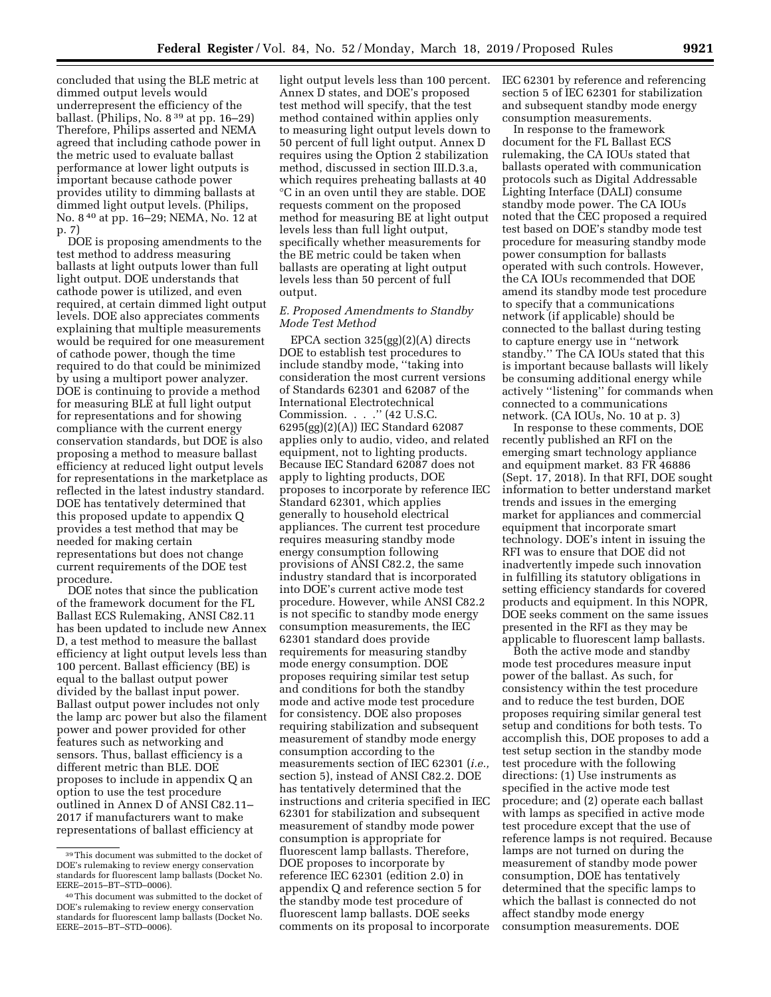concluded that using the BLE metric at dimmed output levels would underrepresent the efficiency of the ballast. (Philips, No. 8 39 at pp. 16–29) Therefore, Philips asserted and NEMA agreed that including cathode power in the metric used to evaluate ballast performance at lower light outputs is important because cathode power provides utility to dimming ballasts at dimmed light output levels. (Philips, No. 8 40 at pp. 16–29; NEMA, No. 12 at p. 7)

DOE is proposing amendments to the test method to address measuring ballasts at light outputs lower than full light output. DOE understands that cathode power is utilized, and even required, at certain dimmed light output levels. DOE also appreciates comments explaining that multiple measurements would be required for one measurement of cathode power, though the time required to do that could be minimized by using a multiport power analyzer. DOE is continuing to provide a method for measuring BLE at full light output for representations and for showing compliance with the current energy conservation standards, but DOE is also proposing a method to measure ballast efficiency at reduced light output levels for representations in the marketplace as reflected in the latest industry standard. DOE has tentatively determined that this proposed update to appendix Q provides a test method that may be needed for making certain representations but does not change current requirements of the DOE test procedure.

DOE notes that since the publication of the framework document for the FL Ballast ECS Rulemaking, ANSI C82.11 has been updated to include new Annex D, a test method to measure the ballast efficiency at light output levels less than 100 percent. Ballast efficiency (BE) is equal to the ballast output power divided by the ballast input power. Ballast output power includes not only the lamp arc power but also the filament power and power provided for other features such as networking and sensors. Thus, ballast efficiency is a different metric than BLE. DOE proposes to include in appendix Q an option to use the test procedure outlined in Annex D of ANSI C82.11– 2017 if manufacturers want to make representations of ballast efficiency at

light output levels less than 100 percent. Annex D states, and DOE's proposed test method will specify, that the test method contained within applies only to measuring light output levels down to 50 percent of full light output. Annex D requires using the Option 2 stabilization method, discussed in section III.D.3.a, which requires preheating ballasts at 40 °C in an oven until they are stable. DOE requests comment on the proposed method for measuring BE at light output levels less than full light output, specifically whether measurements for the BE metric could be taken when ballasts are operating at light output levels less than 50 percent of full output.

## *E. Proposed Amendments to Standby Mode Test Method*

EPCA section 325(gg)(2)(A) directs DOE to establish test procedures to include standby mode, ''taking into consideration the most current versions of Standards 62301 and 62087 of the International Electrotechnical Commission. . . .'' (42 U.S.C. 6295(gg)(2)(A)) IEC Standard 62087 applies only to audio, video, and related equipment, not to lighting products. Because IEC Standard 62087 does not apply to lighting products, DOE proposes to incorporate by reference IEC Standard 62301, which applies generally to household electrical appliances. The current test procedure requires measuring standby mode energy consumption following provisions of ANSI C82.2, the same industry standard that is incorporated into DOE's current active mode test procedure. However, while ANSI C82.2 is not specific to standby mode energy consumption measurements, the IEC 62301 standard does provide requirements for measuring standby mode energy consumption. DOE proposes requiring similar test setup and conditions for both the standby mode and active mode test procedure for consistency. DOE also proposes requiring stabilization and subsequent measurement of standby mode energy consumption according to the measurements section of IEC 62301 (*i.e.,*  section 5), instead of ANSI C82.2. DOE has tentatively determined that the instructions and criteria specified in IEC 62301 for stabilization and subsequent measurement of standby mode power consumption is appropriate for fluorescent lamp ballasts. Therefore, DOE proposes to incorporate by reference IEC 62301 (edition 2.0) in appendix Q and reference section 5 for the standby mode test procedure of fluorescent lamp ballasts. DOE seeks comments on its proposal to incorporate

IEC 62301 by reference and referencing section 5 of IEC 62301 for stabilization and subsequent standby mode energy consumption measurements.

In response to the framework document for the FL Ballast ECS rulemaking, the CA IOUs stated that ballasts operated with communication protocols such as Digital Addressable Lighting Interface (DALI) consume standby mode power. The CA IOUs noted that the CEC proposed a required test based on DOE's standby mode test procedure for measuring standby mode power consumption for ballasts operated with such controls. However, the CA IOUs recommended that DOE amend its standby mode test procedure to specify that a communications network (if applicable) should be connected to the ballast during testing to capture energy use in ''network standby.'' The CA IOUs stated that this is important because ballasts will likely be consuming additional energy while actively ''listening'' for commands when connected to a communications network. (CA IOUs, No. 10 at p. 3)

In response to these comments, DOE recently published an RFI on the emerging smart technology appliance and equipment market. 83 FR 46886 (Sept. 17, 2018). In that RFI, DOE sought information to better understand market trends and issues in the emerging market for appliances and commercial equipment that incorporate smart technology. DOE's intent in issuing the RFI was to ensure that DOE did not inadvertently impede such innovation in fulfilling its statutory obligations in setting efficiency standards for covered products and equipment. In this NOPR, DOE seeks comment on the same issues presented in the RFI as they may be applicable to fluorescent lamp ballasts.

Both the active mode and standby mode test procedures measure input power of the ballast. As such, for consistency within the test procedure and to reduce the test burden, DOE proposes requiring similar general test setup and conditions for both tests. To accomplish this, DOE proposes to add a test setup section in the standby mode test procedure with the following directions: (1) Use instruments as specified in the active mode test procedure; and (2) operate each ballast with lamps as specified in active mode test procedure except that the use of reference lamps is not required. Because lamps are not turned on during the measurement of standby mode power consumption, DOE has tentatively determined that the specific lamps to which the ballast is connected do not affect standby mode energy consumption measurements. DOE

<sup>39</sup>This document was submitted to the docket of DOE's rulemaking to review energy conservation standards for fluorescent lamp ballasts (Docket No. EERE–2015–BT–STD–0006).

<sup>40</sup>This document was submitted to the docket of DOE's rulemaking to review energy conservation standards for fluorescent lamp ballasts (Docket No. EERE–2015–BT–STD–0006).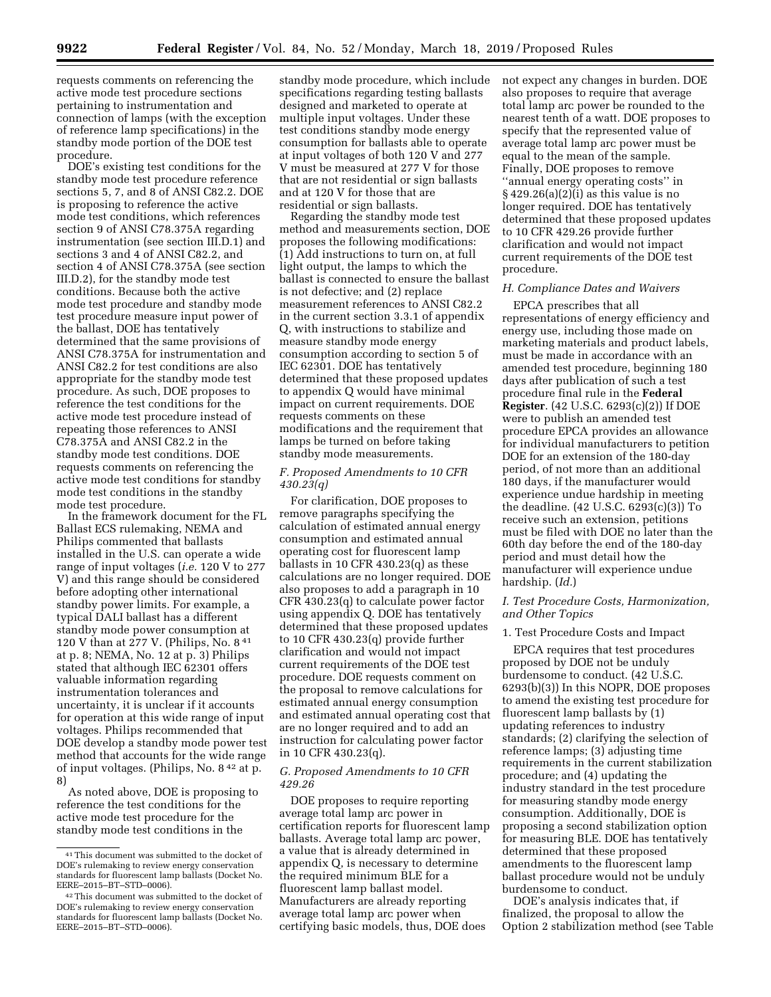requests comments on referencing the active mode test procedure sections pertaining to instrumentation and connection of lamps (with the exception of reference lamp specifications) in the standby mode portion of the DOE test procedure.

DOE's existing test conditions for the standby mode test procedure reference sections 5, 7, and 8 of ANSI C82.2. DOE is proposing to reference the active mode test conditions, which references section 9 of ANSI C78.375A regarding instrumentation (see section III.D.1) and sections 3 and 4 of ANSI C82.2, and section 4 of ANSI C78.375A (see section III.D.2), for the standby mode test conditions. Because both the active mode test procedure and standby mode test procedure measure input power of the ballast, DOE has tentatively determined that the same provisions of ANSI C78.375A for instrumentation and ANSI C82.2 for test conditions are also appropriate for the standby mode test procedure. As such, DOE proposes to reference the test conditions for the active mode test procedure instead of repeating those references to ANSI C78.375A and ANSI C82.2 in the standby mode test conditions. DOE requests comments on referencing the active mode test conditions for standby mode test conditions in the standby mode test procedure.

In the framework document for the FL Ballast ECS rulemaking, NEMA and Philips commented that ballasts installed in the U.S. can operate a wide range of input voltages (*i.e.* 120 V to 277 V) and this range should be considered before adopting other international standby power limits. For example, a typical DALI ballast has a different standby mode power consumption at 120 V than at 277 V. (Philips, No. 8 41 at p. 8; NEMA, No. 12 at p. 3) Philips stated that although IEC 62301 offers valuable information regarding instrumentation tolerances and uncertainty, it is unclear if it accounts for operation at this wide range of input voltages. Philips recommended that DOE develop a standby mode power test method that accounts for the wide range of input voltages. (Philips, No. 8 42 at p. 8)

As noted above, DOE is proposing to reference the test conditions for the active mode test procedure for the standby mode test conditions in the

standby mode procedure, which include specifications regarding testing ballasts designed and marketed to operate at multiple input voltages. Under these test conditions standby mode energy consumption for ballasts able to operate at input voltages of both 120 V and 277 V must be measured at 277 V for those that are not residential or sign ballasts and at 120 V for those that are residential or sign ballasts.

Regarding the standby mode test method and measurements section, DOE proposes the following modifications: (1) Add instructions to turn on, at full light output, the lamps to which the ballast is connected to ensure the ballast is not defective; and (2) replace measurement references to ANSI C82.2 in the current section 3.3.1 of appendix Q, with instructions to stabilize and measure standby mode energy consumption according to section 5 of IEC 62301. DOE has tentatively determined that these proposed updates to appendix Q would have minimal impact on current requirements. DOE requests comments on these modifications and the requirement that lamps be turned on before taking standby mode measurements.

## *F. Proposed Amendments to 10 CFR 430.23(q)*

For clarification, DOE proposes to remove paragraphs specifying the calculation of estimated annual energy consumption and estimated annual operating cost for fluorescent lamp ballasts in 10 CFR 430.23(q) as these calculations are no longer required. DOE also proposes to add a paragraph in 10 CFR 430.23(q) to calculate power factor using appendix Q. DOE has tentatively determined that these proposed updates to 10 CFR 430.23(q) provide further clarification and would not impact current requirements of the DOE test procedure. DOE requests comment on the proposal to remove calculations for estimated annual energy consumption and estimated annual operating cost that are no longer required and to add an instruction for calculating power factor in 10 CFR 430.23(q).

## *G. Proposed Amendments to 10 CFR 429.26*

DOE proposes to require reporting average total lamp arc power in certification reports for fluorescent lamp ballasts. Average total lamp arc power, a value that is already determined in appendix Q, is necessary to determine the required minimum BLE for a fluorescent lamp ballast model. Manufacturers are already reporting average total lamp arc power when certifying basic models, thus, DOE does

not expect any changes in burden. DOE also proposes to require that average total lamp arc power be rounded to the nearest tenth of a watt. DOE proposes to specify that the represented value of average total lamp arc power must be equal to the mean of the sample. Finally, DOE proposes to remove ''annual energy operating costs'' in § 429.26(a)(2)(i) as this value is no longer required. DOE has tentatively determined that these proposed updates to 10 CFR 429.26 provide further clarification and would not impact current requirements of the DOE test procedure.

## *H. Compliance Dates and Waivers*

EPCA prescribes that all representations of energy efficiency and energy use, including those made on marketing materials and product labels, must be made in accordance with an amended test procedure, beginning 180 days after publication of such a test procedure final rule in the **Federal Register**. (42 U.S.C. 6293(c)(2)) If DOE were to publish an amended test procedure EPCA provides an allowance for individual manufacturers to petition DOE for an extension of the 180-day period, of not more than an additional 180 days, if the manufacturer would experience undue hardship in meeting the deadline. (42 U.S.C. 6293(c)(3)) To receive such an extension, petitions must be filed with DOE no later than the 60th day before the end of the 180-day period and must detail how the manufacturer will experience undue hardship. (*Id.*)

### *I. Test Procedure Costs, Harmonization, and Other Topics*

#### 1. Test Procedure Costs and Impact

EPCA requires that test procedures proposed by DOE not be unduly burdensome to conduct. (42 U.S.C. 6293(b)(3)) In this NOPR, DOE proposes to amend the existing test procedure for fluorescent lamp ballasts by (1) updating references to industry standards; (2) clarifying the selection of reference lamps; (3) adjusting time requirements in the current stabilization procedure; and (4) updating the industry standard in the test procedure for measuring standby mode energy consumption. Additionally, DOE is proposing a second stabilization option for measuring BLE. DOE has tentatively determined that these proposed amendments to the fluorescent lamp ballast procedure would not be unduly burdensome to conduct.

DOE's analysis indicates that, if finalized, the proposal to allow the Option 2 stabilization method (see Table

<sup>41</sup>This document was submitted to the docket of DOE's rulemaking to review energy conservation standards for fluorescent lamp ballasts (Docket No. EERE–2015–BT–STD–0006).

<sup>42</sup>This document was submitted to the docket of DOE's rulemaking to review energy conservation standards for fluorescent lamp ballasts (Docket No. EERE–2015–BT–STD–0006).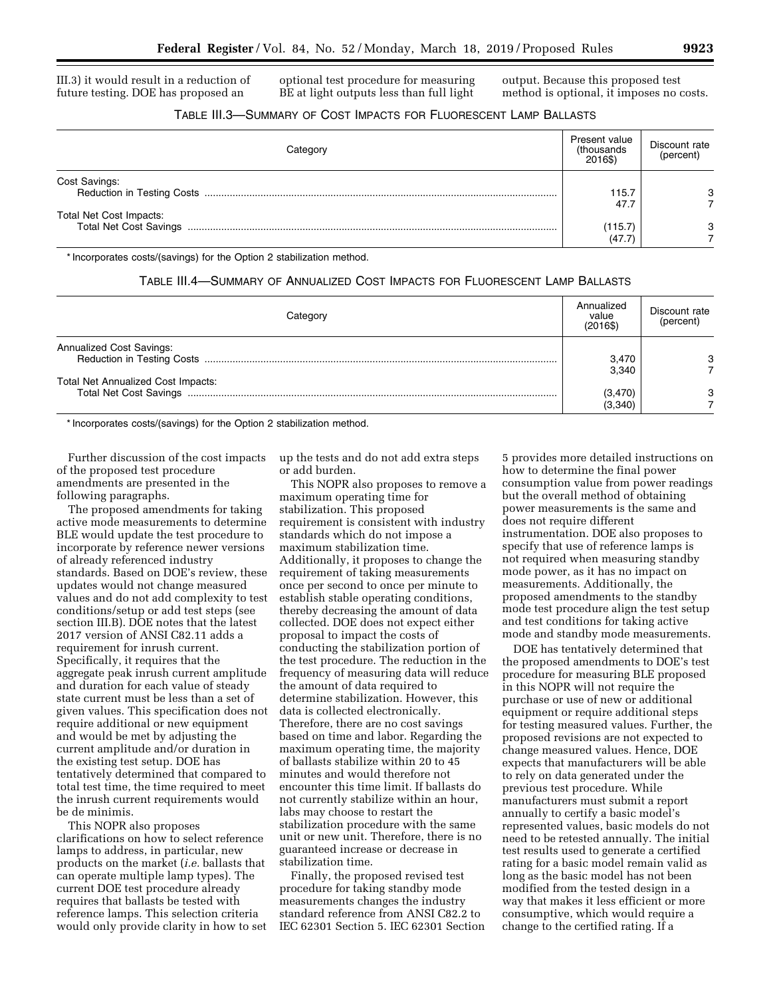III.3) it would result in a reduction of future testing. DOE has proposed an

optional test procedure for measuring BE at light outputs less than full light

output. Because this proposed test method is optional, it imposes no costs.

# TABLE III.3—SUMMARY OF COST IMPACTS FOR FLUORESCENT LAMP BALLASTS

|                               | Present value<br>(thousands<br>2016\$) | Discount rate<br>(percent) |
|-------------------------------|----------------------------------------|----------------------------|
| Cost Savings:                 | 115.7                                  | 3                          |
| Total Net Cost Impacts:       | 47.7                                   |                            |
| <b>Total Net Cost Savings</b> | (115.7)<br>(47.7)                      | 3                          |

\* Incorporates costs/(savings) for the Option 2 stabilization method.

## TABLE III.4—SUMMARY OF ANNUALIZED COST IMPACTS FOR FLUORESCENT LAMP BALLASTS

| Category                           | Annualized<br>value<br>(2016\$) | Discount rate<br>(percent) |
|------------------------------------|---------------------------------|----------------------------|
| <b>Annualized Cost Savings:</b>    | 3,470<br>3.340                  |                            |
| Total Net Annualized Cost Impacts: | (3,470)<br>(3,340)              | 3                          |

\* Incorporates costs/(savings) for the Option 2 stabilization method.

Further discussion of the cost impacts of the proposed test procedure amendments are presented in the following paragraphs.

The proposed amendments for taking active mode measurements to determine BLE would update the test procedure to incorporate by reference newer versions of already referenced industry standards. Based on DOE's review, these updates would not change measured values and do not add complexity to test conditions/setup or add test steps (see section III.B). DOE notes that the latest 2017 version of ANSI C82.11 adds a requirement for inrush current. Specifically, it requires that the aggregate peak inrush current amplitude and duration for each value of steady state current must be less than a set of given values. This specification does not require additional or new equipment and would be met by adjusting the current amplitude and/or duration in the existing test setup. DOE has tentatively determined that compared to total test time, the time required to meet the inrush current requirements would be de minimis.

This NOPR also proposes clarifications on how to select reference lamps to address, in particular, new products on the market (*i.e.* ballasts that can operate multiple lamp types). The current DOE test procedure already requires that ballasts be tested with reference lamps. This selection criteria would only provide clarity in how to set up the tests and do not add extra steps or add burden.

This NOPR also proposes to remove a maximum operating time for stabilization. This proposed requirement is consistent with industry standards which do not impose a maximum stabilization time. Additionally, it proposes to change the requirement of taking measurements once per second to once per minute to establish stable operating conditions, thereby decreasing the amount of data collected. DOE does not expect either proposal to impact the costs of conducting the stabilization portion of the test procedure. The reduction in the frequency of measuring data will reduce the amount of data required to determine stabilization. However, this data is collected electronically. Therefore, there are no cost savings based on time and labor. Regarding the maximum operating time, the majority of ballasts stabilize within 20 to 45 minutes and would therefore not encounter this time limit. If ballasts do not currently stabilize within an hour, labs may choose to restart the stabilization procedure with the same unit or new unit. Therefore, there is no guaranteed increase or decrease in stabilization time.

Finally, the proposed revised test procedure for taking standby mode measurements changes the industry standard reference from ANSI C82.2 to IEC 62301 Section 5. IEC 62301 Section

5 provides more detailed instructions on how to determine the final power consumption value from power readings but the overall method of obtaining power measurements is the same and does not require different instrumentation. DOE also proposes to specify that use of reference lamps is not required when measuring standby mode power, as it has no impact on measurements. Additionally, the proposed amendments to the standby mode test procedure align the test setup and test conditions for taking active mode and standby mode measurements.

DOE has tentatively determined that the proposed amendments to DOE's test procedure for measuring BLE proposed in this NOPR will not require the purchase or use of new or additional equipment or require additional steps for testing measured values. Further, the proposed revisions are not expected to change measured values. Hence, DOE expects that manufacturers will be able to rely on data generated under the previous test procedure. While manufacturers must submit a report annually to certify a basic model's represented values, basic models do not need to be retested annually. The initial test results used to generate a certified rating for a basic model remain valid as long as the basic model has not been modified from the tested design in a way that makes it less efficient or more consumptive, which would require a change to the certified rating. If a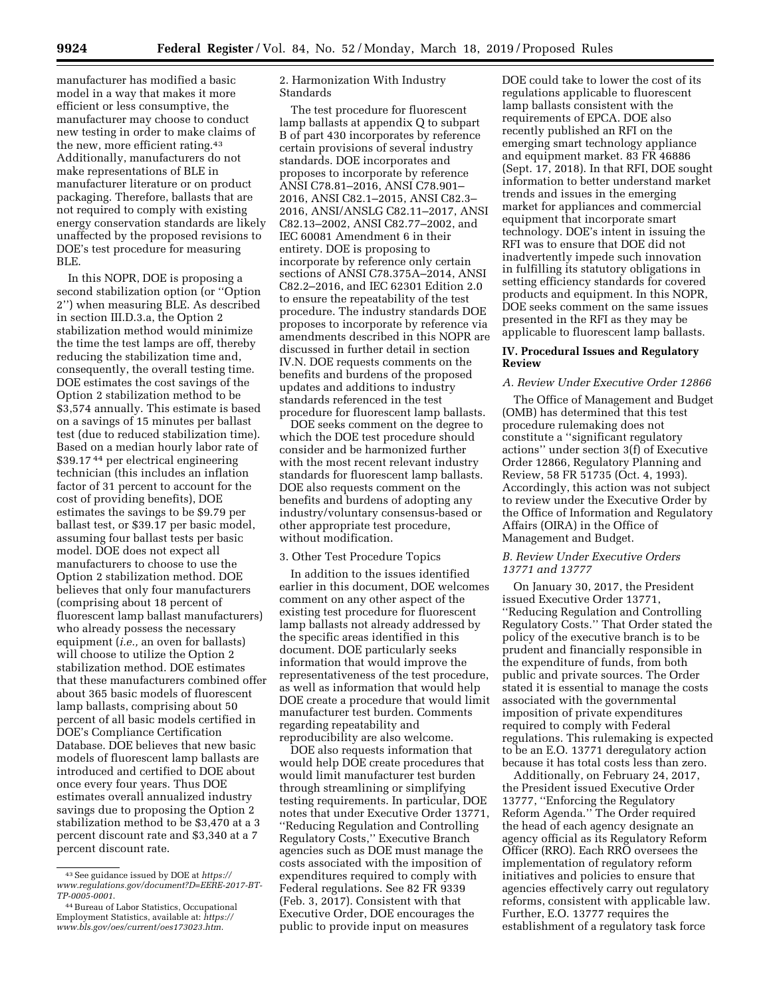manufacturer has modified a basic model in a way that makes it more efficient or less consumptive, the manufacturer may choose to conduct new testing in order to make claims of the new, more efficient rating.43 Additionally, manufacturers do not make representations of BLE in manufacturer literature or on product packaging. Therefore, ballasts that are not required to comply with existing energy conservation standards are likely unaffected by the proposed revisions to DOE's test procedure for measuring BLE.

In this NOPR, DOE is proposing a second stabilization option (or ''Option 2'') when measuring BLE. As described in section III.D.3.a, the Option 2 stabilization method would minimize the time the test lamps are off, thereby reducing the stabilization time and, consequently, the overall testing time. DOE estimates the cost savings of the Option 2 stabilization method to be \$3,574 annually. This estimate is based on a savings of 15 minutes per ballast test (due to reduced stabilization time). Based on a median hourly labor rate of \$39.17 44 per electrical engineering technician (this includes an inflation factor of 31 percent to account for the cost of providing benefits), DOE estimates the savings to be \$9.79 per ballast test, or \$39.17 per basic model, assuming four ballast tests per basic model. DOE does not expect all manufacturers to choose to use the Option 2 stabilization method. DOE believes that only four manufacturers (comprising about 18 percent of fluorescent lamp ballast manufacturers) who already possess the necessary equipment (*i.e.,* an oven for ballasts) will choose to utilize the Option 2 stabilization method. DOE estimates that these manufacturers combined offer about 365 basic models of fluorescent lamp ballasts, comprising about 50 percent of all basic models certified in DOE's Compliance Certification Database. DOE believes that new basic models of fluorescent lamp ballasts are introduced and certified to DOE about once every four years. Thus DOE estimates overall annualized industry savings due to proposing the Option 2 stabilization method to be \$3,470 at a 3 percent discount rate and \$3,340 at a 7 percent discount rate.

2. Harmonization With Industry Standards

The test procedure for fluorescent lamp ballasts at appendix Q to subpart B of part 430 incorporates by reference certain provisions of several industry standards. DOE incorporates and proposes to incorporate by reference ANSI C78.81–2016, ANSI C78.901– 2016, ANSI C82.1–2015, ANSI C82.3– 2016, ANSI/ANSLG C82.11–2017, ANSI C82.13–2002, ANSI C82.77–2002, and IEC 60081 Amendment 6 in their entirety. DOE is proposing to incorporate by reference only certain sections of ANSI C78.375A–2014, ANSI C82.2–2016, and IEC 62301 Edition 2.0 to ensure the repeatability of the test procedure. The industry standards DOE proposes to incorporate by reference via amendments described in this NOPR are discussed in further detail in section IV.N. DOE requests comments on the benefits and burdens of the proposed updates and additions to industry standards referenced in the test procedure for fluorescent lamp ballasts.

DOE seeks comment on the degree to which the DOE test procedure should consider and be harmonized further with the most recent relevant industry standards for fluorescent lamp ballasts. DOE also requests comment on the benefits and burdens of adopting any industry/voluntary consensus-based or other appropriate test procedure, without modification.

#### 3. Other Test Procedure Topics

In addition to the issues identified earlier in this document, DOE welcomes comment on any other aspect of the existing test procedure for fluorescent lamp ballasts not already addressed by the specific areas identified in this document. DOE particularly seeks information that would improve the representativeness of the test procedure, as well as information that would help DOE create a procedure that would limit manufacturer test burden. Comments regarding repeatability and reproducibility are also welcome.

DOE also requests information that would help DOE create procedures that would limit manufacturer test burden through streamlining or simplifying testing requirements. In particular, DOE notes that under Executive Order 13771, ''Reducing Regulation and Controlling Regulatory Costs,'' Executive Branch agencies such as DOE must manage the costs associated with the imposition of expenditures required to comply with Federal regulations. See 82 FR 9339 (Feb. 3, 2017). Consistent with that Executive Order, DOE encourages the public to provide input on measures

DOE could take to lower the cost of its regulations applicable to fluorescent lamp ballasts consistent with the requirements of EPCA. DOE also recently published an RFI on the emerging smart technology appliance and equipment market. 83 FR 46886 (Sept. 17, 2018). In that RFI, DOE sought information to better understand market trends and issues in the emerging market for appliances and commercial equipment that incorporate smart technology. DOE's intent in issuing the RFI was to ensure that DOE did not inadvertently impede such innovation in fulfilling its statutory obligations in setting efficiency standards for covered products and equipment. In this NOPR, DOE seeks comment on the same issues presented in the RFI as they may be applicable to fluorescent lamp ballasts.

### **IV. Procedural Issues and Regulatory Review**

## *A. Review Under Executive Order 12866*

The Office of Management and Budget (OMB) has determined that this test procedure rulemaking does not constitute a ''significant regulatory actions'' under section 3(f) of Executive Order 12866, Regulatory Planning and Review, 58 FR 51735 (Oct. 4, 1993). Accordingly, this action was not subject to review under the Executive Order by the Office of Information and Regulatory Affairs (OIRA) in the Office of Management and Budget.

### *B. Review Under Executive Orders 13771 and 13777*

On January 30, 2017, the President issued Executive Order 13771, ''Reducing Regulation and Controlling Regulatory Costs.'' That Order stated the policy of the executive branch is to be prudent and financially responsible in the expenditure of funds, from both public and private sources. The Order stated it is essential to manage the costs associated with the governmental imposition of private expenditures required to comply with Federal regulations. This rulemaking is expected to be an E.O. 13771 deregulatory action because it has total costs less than zero.

Additionally, on February 24, 2017, the President issued Executive Order 13777, ''Enforcing the Regulatory Reform Agenda.'' The Order required the head of each agency designate an agency official as its Regulatory Reform Officer (RRO). Each RRO oversees the implementation of regulatory reform initiatives and policies to ensure that agencies effectively carry out regulatory reforms, consistent with applicable law. Further, E.O. 13777 requires the establishment of a regulatory task force

<sup>43</sup>See guidance issued by DOE at *https:// www.regulations.gov/document?D=EERE-2017-BT-TP-0005-0001*.

<sup>44</sup>Bureau of Labor Statistics, Occupational Employment Statistics, available at: *https:// www.bls.gov/oes/current/oes173023.htm*.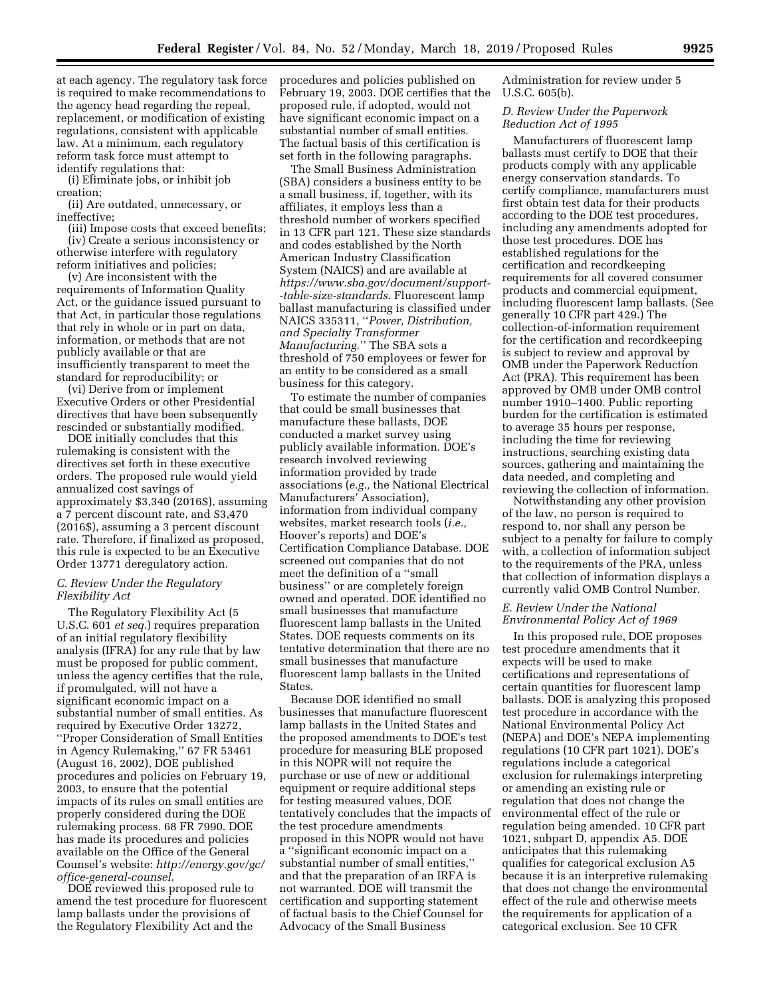at each agency. The regulatory task force is required to make recommendations to the agency head regarding the repeal, replacement, or modification of existing regulations, consistent with applicable law. At a minimum, each regulatory reform task force must attempt to identify regulations that:

(i) Eliminate jobs, or inhibit job creation;

(ii) Are outdated, unnecessary, or ineffective;

(iii) Impose costs that exceed benefits; (iv) Create a serious inconsistency or otherwise interfere with regulatory reform initiatives and policies;

(v) Are inconsistent with the requirements of Information Quality Act, or the guidance issued pursuant to that Act, in particular those regulations that rely in whole or in part on data, information, or methods that are not publicly available or that are insufficiently transparent to meet the standard for reproducibility; or

(vi) Derive from or implement Executive Orders or other Presidential directives that have been subsequently rescinded or substantially modified.

DOE initially concludes that this rulemaking is consistent with the directives set forth in these executive orders. The proposed rule would yield annualized cost savings of approximately \$3,340 (2016\$), assuming a 7 percent discount rate, and \$3,470 (2016\$), assuming a 3 percent discount rate. Therefore, if finalized as proposed, this rule is expected to be an Executive Order 13771 deregulatory action.

## *C. Review Under the Regulatory Flexibility Act*

The Regulatory Flexibility Act (5 U.S.C. 601 *et seq.*) requires preparation of an initial regulatory flexibility analysis (IFRA) for any rule that by law must be proposed for public comment, unless the agency certifies that the rule, if promulgated, will not have a significant economic impact on a substantial number of small entities. As required by Executive Order 13272, ''Proper Consideration of Small Entities in Agency Rulemaking,'' 67 FR 53461 (August 16, 2002), DOE published procedures and policies on February 19, 2003, to ensure that the potential impacts of its rules on small entities are properly considered during the DOE rulemaking process. 68 FR 7990. DOE has made its procedures and policies available on the Office of the General Counsel's website: *http://energy.gov/gc/ office-general-counsel*.

DOE reviewed this proposed rule to amend the test procedure for fluorescent lamp ballasts under the provisions of the Regulatory Flexibility Act and the

procedures and policies published on February 19, 2003. DOE certifies that the proposed rule, if adopted, would not have significant economic impact on a substantial number of small entities. The factual basis of this certification is set forth in the following paragraphs.

The Small Business Administration (SBA) considers a business entity to be a small business, if, together, with its affiliates, it employs less than a threshold number of workers specified in 13 CFR part 121. These size standards and codes established by the North American Industry Classification System (NAICS) and are available at *https://www.sba.gov/document/support- -table-size-standards*. Fluorescent lamp ballast manufacturing is classified under NAICS 335311, ''*Power, Distribution, and Specialty Transformer Manufacturing*.'' The SBA sets a threshold of 750 employees or fewer for an entity to be considered as a small business for this category.

To estimate the number of companies that could be small businesses that manufacture these ballasts, DOE conducted a market survey using publicly available information. DOE's research involved reviewing information provided by trade associations (*e.g.,* the National Electrical Manufacturers' Association), information from individual company websites, market research tools (*i.e.,*  Hoover's reports) and DOE's Certification Compliance Database. DOE screened out companies that do not meet the definition of a ''small business'' or are completely foreign owned and operated. DOE identified no small businesses that manufacture fluorescent lamp ballasts in the United States. DOE requests comments on its tentative determination that there are no small businesses that manufacture fluorescent lamp ballasts in the United States.

Because DOE identified no small businesses that manufacture fluorescent lamp ballasts in the United States and the proposed amendments to DOE's test procedure for measuring BLE proposed in this NOPR will not require the purchase or use of new or additional equipment or require additional steps for testing measured values, DOE tentatively concludes that the impacts of the test procedure amendments proposed in this NOPR would not have a ''significant economic impact on a substantial number of small entities,'' and that the preparation of an IRFA is not warranted. DOE will transmit the certification and supporting statement of factual basis to the Chief Counsel for Advocacy of the Small Business

Administration for review under 5 U.S.C. 605(b).

## *D. Review Under the Paperwork Reduction Act of 1995*

Manufacturers of fluorescent lamp ballasts must certify to DOE that their products comply with any applicable energy conservation standards. To certify compliance, manufacturers must first obtain test data for their products according to the DOE test procedures, including any amendments adopted for those test procedures. DOE has established regulations for the certification and recordkeeping requirements for all covered consumer products and commercial equipment, including fluorescent lamp ballasts. (See generally 10 CFR part 429.) The collection-of-information requirement for the certification and recordkeeping is subject to review and approval by OMB under the Paperwork Reduction Act (PRA). This requirement has been approved by OMB under OMB control number 1910–1400. Public reporting burden for the certification is estimated to average 35 hours per response, including the time for reviewing instructions, searching existing data sources, gathering and maintaining the data needed, and completing and reviewing the collection of information.

Notwithstanding any other provision of the law, no person is required to respond to, nor shall any person be subject to a penalty for failure to comply with, a collection of information subject to the requirements of the PRA, unless that collection of information displays a currently valid OMB Control Number.

### *E. Review Under the National Environmental Policy Act of 1969*

In this proposed rule, DOE proposes test procedure amendments that it expects will be used to make certifications and representations of certain quantities for fluorescent lamp ballasts. DOE is analyzing this proposed test procedure in accordance with the National Environmental Policy Act (NEPA) and DOE's NEPA implementing regulations (10 CFR part 1021). DOE's regulations include a categorical exclusion for rulemakings interpreting or amending an existing rule or regulation that does not change the environmental effect of the rule or regulation being amended. 10 CFR part 1021, subpart D, appendix A5. DOE anticipates that this rulemaking qualifies for categorical exclusion A5 because it is an interpretive rulemaking that does not change the environmental effect of the rule and otherwise meets the requirements for application of a categorical exclusion. See 10 CFR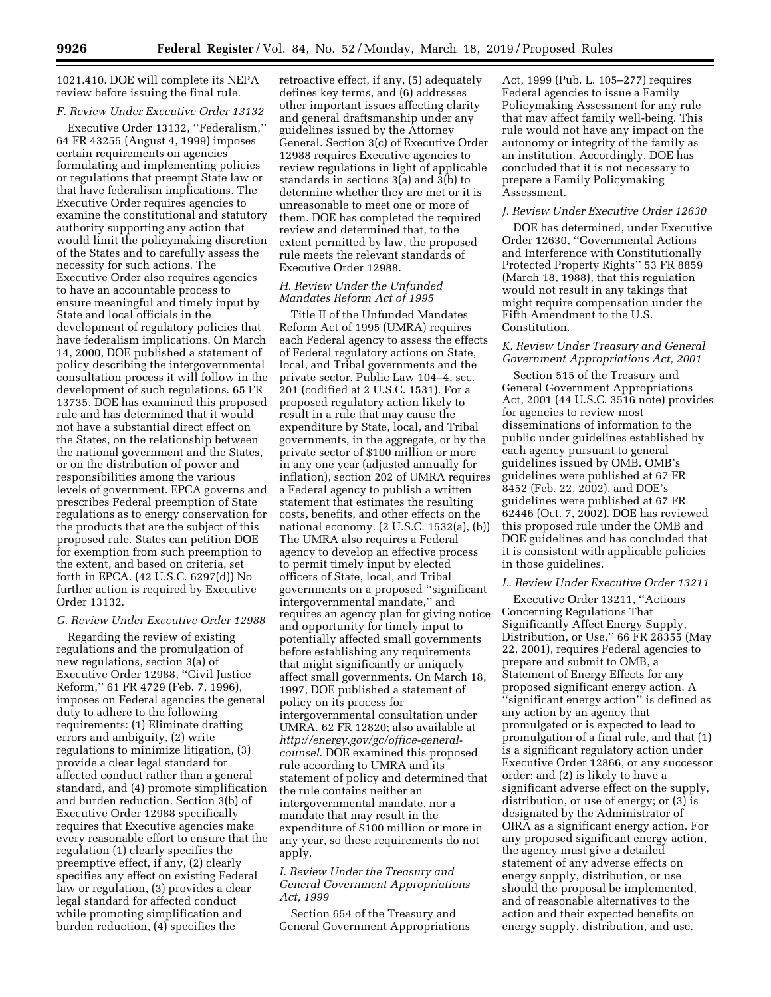1021.410. DOE will complete its NEPA review before issuing the final rule.

# *F. Review Under Executive Order 13132*

Executive Order 13132, ''Federalism,'' 64 FR 43255 (August 4, 1999) imposes certain requirements on agencies formulating and implementing policies or regulations that preempt State law or that have federalism implications. The Executive Order requires agencies to examine the constitutional and statutory authority supporting any action that would limit the policymaking discretion of the States and to carefully assess the necessity for such actions. The Executive Order also requires agencies to have an accountable process to ensure meaningful and timely input by State and local officials in the development of regulatory policies that have federalism implications. On March 14, 2000, DOE published a statement of policy describing the intergovernmental consultation process it will follow in the development of such regulations. 65 FR 13735. DOE has examined this proposed rule and has determined that it would not have a substantial direct effect on the States, on the relationship between the national government and the States, or on the distribution of power and responsibilities among the various levels of government. EPCA governs and prescribes Federal preemption of State regulations as to energy conservation for the products that are the subject of this proposed rule. States can petition DOE for exemption from such preemption to the extent, and based on criteria, set forth in EPCA. (42 U.S.C. 6297(d)) No further action is required by Executive Order 13132.

#### *G. Review Under Executive Order 12988*

Regarding the review of existing regulations and the promulgation of new regulations, section 3(a) of Executive Order 12988, ''Civil Justice Reform,'' 61 FR 4729 (Feb. 7, 1996), imposes on Federal agencies the general duty to adhere to the following requirements: (1) Eliminate drafting errors and ambiguity, (2) write regulations to minimize litigation, (3) provide a clear legal standard for affected conduct rather than a general standard, and (4) promote simplification and burden reduction. Section 3(b) of Executive Order 12988 specifically requires that Executive agencies make every reasonable effort to ensure that the regulation (1) clearly specifies the preemptive effect, if any, (2) clearly specifies any effect on existing Federal law or regulation, (3) provides a clear legal standard for affected conduct while promoting simplification and burden reduction, (4) specifies the

retroactive effect, if any, (5) adequately defines key terms, and (6) addresses other important issues affecting clarity and general draftsmanship under any guidelines issued by the Attorney General. Section 3(c) of Executive Order 12988 requires Executive agencies to review regulations in light of applicable standards in sections 3(a) and 3(b) to determine whether they are met or it is unreasonable to meet one or more of them. DOE has completed the required review and determined that, to the extent permitted by law, the proposed rule meets the relevant standards of Executive Order 12988.

## *H. Review Under the Unfunded Mandates Reform Act of 1995*

Title II of the Unfunded Mandates Reform Act of 1995 (UMRA) requires each Federal agency to assess the effects of Federal regulatory actions on State, local, and Tribal governments and the private sector. Public Law 104–4, sec. 201 (codified at 2 U.S.C. 1531). For a proposed regulatory action likely to result in a rule that may cause the expenditure by State, local, and Tribal governments, in the aggregate, or by the private sector of \$100 million or more in any one year (adjusted annually for inflation), section 202 of UMRA requires a Federal agency to publish a written statement that estimates the resulting costs, benefits, and other effects on the national economy. (2 U.S.C. 1532(a), (b)) The UMRA also requires a Federal agency to develop an effective process to permit timely input by elected officers of State, local, and Tribal governments on a proposed ''significant intergovernmental mandate,'' and requires an agency plan for giving notice and opportunity for timely input to potentially affected small governments before establishing any requirements that might significantly or uniquely affect small governments. On March 18, 1997, DOE published a statement of policy on its process for intergovernmental consultation under UMRA. 62 FR 12820; also available at *http://energy.gov/gc/office-generalcounsel*. DOE examined this proposed rule according to UMRA and its statement of policy and determined that the rule contains neither an intergovernmental mandate, nor a mandate that may result in the expenditure of \$100 million or more in any year, so these requirements do not apply.

### *I. Review Under the Treasury and General Government Appropriations Act, 1999*

Section 654 of the Treasury and General Government Appropriations

Act, 1999 (Pub. L. 105–277) requires Federal agencies to issue a Family Policymaking Assessment for any rule that may affect family well-being. This rule would not have any impact on the autonomy or integrity of the family as an institution. Accordingly, DOE has concluded that it is not necessary to prepare a Family Policymaking Assessment.

#### *J. Review Under Executive Order 12630*

DOE has determined, under Executive Order 12630, ''Governmental Actions and Interference with Constitutionally Protected Property Rights'' 53 FR 8859 (March 18, 1988), that this regulation would not result in any takings that might require compensation under the Fifth Amendment to the U.S. Constitution.

## *K. Review Under Treasury and General Government Appropriations Act, 2001*

Section 515 of the Treasury and General Government Appropriations Act, 2001 (44 U.S.C. 3516 note) provides for agencies to review most disseminations of information to the public under guidelines established by each agency pursuant to general guidelines issued by OMB. OMB's guidelines were published at 67 FR 8452 (Feb. 22, 2002), and DOE's guidelines were published at 67 FR 62446 (Oct. 7, 2002). DOE has reviewed this proposed rule under the OMB and DOE guidelines and has concluded that it is consistent with applicable policies in those guidelines.

#### *L. Review Under Executive Order 13211*

Executive Order 13211, ''Actions Concerning Regulations That Significantly Affect Energy Supply, Distribution, or Use,'' 66 FR 28355 (May 22, 2001), requires Federal agencies to prepare and submit to OMB, a Statement of Energy Effects for any proposed significant energy action. A "significant energy action" is defined as any action by an agency that promulgated or is expected to lead to promulgation of a final rule, and that (1) is a significant regulatory action under Executive Order 12866, or any successor order; and (2) is likely to have a significant adverse effect on the supply, distribution, or use of energy; or (3) is designated by the Administrator of OIRA as a significant energy action. For any proposed significant energy action, the agency must give a detailed statement of any adverse effects on energy supply, distribution, or use should the proposal be implemented, and of reasonable alternatives to the action and their expected benefits on energy supply, distribution, and use.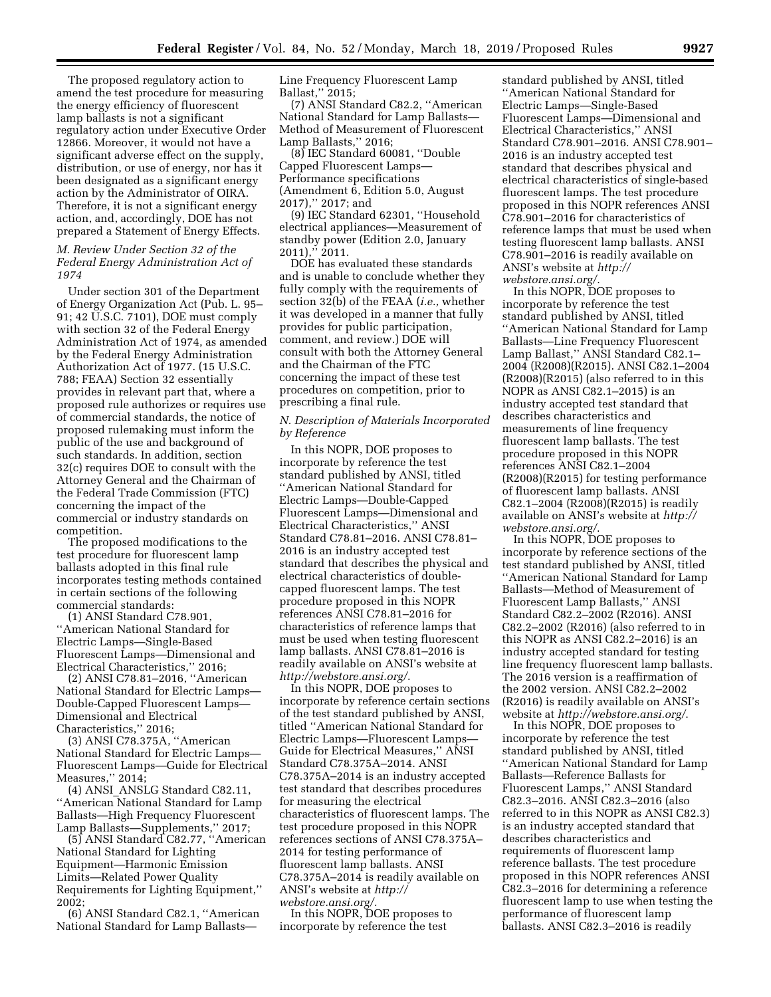The proposed regulatory action to amend the test procedure for measuring the energy efficiency of fluorescent lamp ballasts is not a significant regulatory action under Executive Order 12866. Moreover, it would not have a significant adverse effect on the supply, distribution, or use of energy, nor has it been designated as a significant energy action by the Administrator of OIRA. Therefore, it is not a significant energy action, and, accordingly, DOE has not prepared a Statement of Energy Effects.

## *M. Review Under Section 32 of the Federal Energy Administration Act of 1974*

Under section 301 of the Department of Energy Organization Act (Pub. L. 95– 91; 42 U.S.C. 7101), DOE must comply with section 32 of the Federal Energy Administration Act of 1974, as amended by the Federal Energy Administration Authorization Act of 1977. (15 U.S.C. 788; FEAA) Section 32 essentially provides in relevant part that, where a proposed rule authorizes or requires use of commercial standards, the notice of proposed rulemaking must inform the public of the use and background of such standards. In addition, section 32(c) requires DOE to consult with the Attorney General and the Chairman of the Federal Trade Commission (FTC) concerning the impact of the commercial or industry standards on competition.

The proposed modifications to the test procedure for fluorescent lamp ballasts adopted in this final rule incorporates testing methods contained in certain sections of the following commercial standards:

(1) ANSI Standard C78.901, ''American National Standard for Electric Lamps—Single-Based Fluorescent Lamps—Dimensional and Electrical Characteristics,'' 2016;

(2) ANSI C78.81–2016, ''American National Standard for Electric Lamps— Double-Capped Fluorescent Lamps— Dimensional and Electrical Characteristics,'' 2016;

(3) ANSI C78.375A, ''American National Standard for Electric Lamps— Fluorescent Lamps—Guide for Electrical Measures,'' 2014;

(4) ANSI\_ANSLG Standard C82.11, ''American National Standard for Lamp Ballasts—High Frequency Fluorescent Lamp Ballasts—Supplements,'' 2017;

(5) ANSI Standard C82.77, ''American National Standard for Lighting Equipment—Harmonic Emission Limits—Related Power Quality Requirements for Lighting Equipment,'' 2002;

(6) ANSI Standard C82.1, ''American National Standard for Lamp BallastsLine Frequency Fluorescent Lamp Ballast,'' 2015;

(7) ANSI Standard C82.2, ''American National Standard for Lamp Ballasts— Method of Measurement of Fluorescent Lamp Ballasts,'' 2016;

(8) IEC Standard 60081, ''Double Capped Fluorescent Lamps— Performance specifications (Amendment 6, Edition 5.0, August 2017),'' 2017; and

(9) IEC Standard 62301, ''Household electrical appliances—Measurement of standby power (Edition 2.0, January 2011),'' 2011.

DOE has evaluated these standards and is unable to conclude whether they fully comply with the requirements of section 32(b) of the FEAA (*i.e.,* whether it was developed in a manner that fully provides for public participation, comment, and review.) DOE will consult with both the Attorney General and the Chairman of the FTC concerning the impact of these test procedures on competition, prior to prescribing a final rule.

## *N. Description of Materials Incorporated by Reference*

In this NOPR, DOE proposes to incorporate by reference the test standard published by ANSI, titled ''American National Standard for Electric Lamps—Double-Capped Fluorescent Lamps—Dimensional and Electrical Characteristics,'' ANSI Standard C78.81–2016. ANSI C78.81– 2016 is an industry accepted test standard that describes the physical and electrical characteristics of doublecapped fluorescent lamps. The test procedure proposed in this NOPR references ANSI C78.81–2016 for characteristics of reference lamps that must be used when testing fluorescent lamp ballasts. ANSI C78.81–2016 is readily available on ANSI's website at *http://webstore.ansi.org/*.

In this NOPR, DOE proposes to incorporate by reference certain sections of the test standard published by ANSI, titled ''American National Standard for Electric Lamps—Fluorescent Lamps— Guide for Electrical Measures,'' ANSI Standard C78.375A–2014. ANSI C78.375A–2014 is an industry accepted test standard that describes procedures for measuring the electrical characteristics of fluorescent lamps. The test procedure proposed in this NOPR references sections of ANSI C78.375A– 2014 for testing performance of fluorescent lamp ballasts. ANSI C78.375A–2014 is readily available on ANSI's website at *http:// webstore.ansi.org/.* 

In this NOPR, DOE proposes to incorporate by reference the test

standard published by ANSI, titled ''American National Standard for Electric Lamps—Single-Based Fluorescent Lamps—Dimensional and Electrical Characteristics,'' ANSI Standard C78.901–2016. ANSI C78.901– 2016 is an industry accepted test standard that describes physical and electrical characteristics of single-based fluorescent lamps. The test procedure proposed in this NOPR references ANSI C78.901–2016 for characteristics of reference lamps that must be used when testing fluorescent lamp ballasts. ANSI C78.901–2016 is readily available on ANSI's website at *http:// webstore.ansi.org/.* 

In this NOPR, DOE proposes to incorporate by reference the test standard published by ANSI, titled ''American National Standard for Lamp Ballasts—Line Frequency Fluorescent Lamp Ballast,'' ANSI Standard C82.1– 2004 (R2008)(R2015). ANSI C82.1–2004 (R2008)(R2015) (also referred to in this NOPR as ANSI C82.1–2015) is an industry accepted test standard that describes characteristics and measurements of line frequency fluorescent lamp ballasts. The test procedure proposed in this NOPR references ANSI C82.1–2004 (R2008)(R2015) for testing performance of fluorescent lamp ballasts. ANSI C82.1–2004 (R2008)(R2015) is readily available on ANSI's website at *http:// webstore.ansi.org/*.

In this NOPR, DOE proposes to incorporate by reference sections of the test standard published by ANSI, titled ''American National Standard for Lamp Ballasts—Method of Measurement of Fluorescent Lamp Ballasts,'' ANSI Standard C82.2–2002 (R2016). ANSI C82.2–2002 (R2016) (also referred to in this NOPR as ANSI C82.2–2016) is an industry accepted standard for testing line frequency fluorescent lamp ballasts. The 2016 version is a reaffirmation of the 2002 version. ANSI C82.2–2002 (R2016) is readily available on ANSI's website at *http://webstore.ansi.org/*.

In this NOPR, DOE proposes to incorporate by reference the test standard published by ANSI, titled ''American National Standard for Lamp Ballasts—Reference Ballasts for Fluorescent Lamps,'' ANSI Standard C82.3–2016. ANSI C82.3–2016 (also referred to in this NOPR as ANSI C82.3) is an industry accepted standard that describes characteristics and requirements of fluorescent lamp reference ballasts. The test procedure proposed in this NOPR references ANSI C82.3–2016 for determining a reference fluorescent lamp to use when testing the performance of fluorescent lamp ballasts. ANSI C82.3–2016 is readily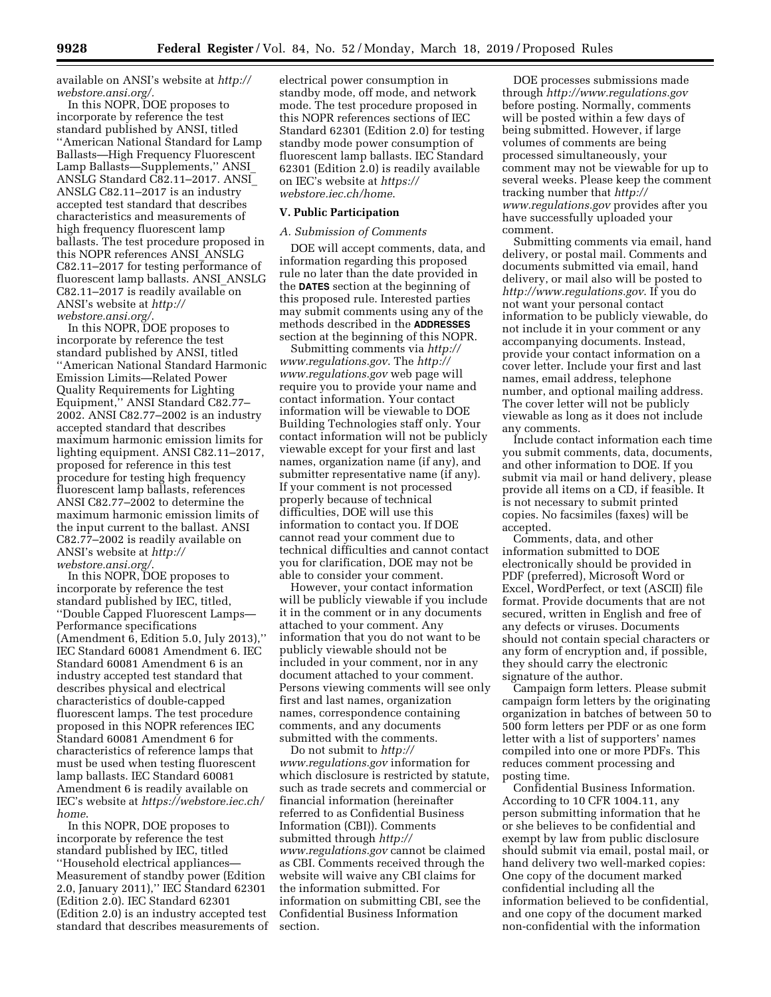available on ANSI's website at *http:// webstore.ansi.org/.* 

In this NOPR, DOE proposes to incorporate by reference the test standard published by ANSI, titled ''American National Standard for Lamp Ballasts—High Frequency Fluorescent Lamp Ballasts—Supplements,'' ANSI\_ ANSLG Standard C82.11-2017. ANSI ANSLG C82.11–2017 is an industry accepted test standard that describes characteristics and measurements of high frequency fluorescent lamp ballasts. The test procedure proposed in this NOPR references ANSI\_ANSLG C82.11–2017 for testing performance of fluorescent lamp ballasts. ANSI\_ANSLG C82.11–2017 is readily available on ANSI's website at *http:// webstore.ansi.org/*.

In this NOPR, DOE proposes to incorporate by reference the test standard published by ANSI, titled ''American National Standard Harmonic Emission Limits—Related Power Quality Requirements for Lighting Equipment,'' ANSI Standard C82.77– 2002. ANSI C82.77–2002 is an industry accepted standard that describes maximum harmonic emission limits for lighting equipment. ANSI C82.11–2017, proposed for reference in this test procedure for testing high frequency fluorescent lamp ballasts, references ANSI C82.77–2002 to determine the maximum harmonic emission limits of the input current to the ballast. ANSI C82.77–2002 is readily available on ANSI's website at *http:// webstore.ansi.org/*.

In this NOPR, DOE proposes to incorporate by reference the test standard published by IEC, titled, ''Double Capped Fluorescent Lamps— Performance specifications (Amendment 6, Edition 5.0, July 2013),'' IEC Standard 60081 Amendment 6. IEC Standard 60081 Amendment 6 is an industry accepted test standard that describes physical and electrical characteristics of double-capped fluorescent lamps. The test procedure proposed in this NOPR references IEC Standard 60081 Amendment 6 for characteristics of reference lamps that must be used when testing fluorescent lamp ballasts. IEC Standard 60081 Amendment 6 is readily available on IEC's website at *https://webstore.iec.ch/ home*.

In this NOPR, DOE proposes to incorporate by reference the test standard published by IEC, titled ''Household electrical appliances— Measurement of standby power (Edition 2.0, January 2011),'' IEC Standard 62301 (Edition 2.0). IEC Standard 62301 (Edition 2.0) is an industry accepted test standard that describes measurements of electrical power consumption in standby mode, off mode, and network mode. The test procedure proposed in this NOPR references sections of IEC Standard 62301 (Edition 2.0) for testing standby mode power consumption of fluorescent lamp ballasts. IEC Standard 62301 (Edition 2.0) is readily available on IEC's website at *https:// webstore.iec.ch/home*.

# **V. Public Participation**

#### *A. Submission of Comments*

DOE will accept comments, data, and information regarding this proposed rule no later than the date provided in the **DATES** section at the beginning of this proposed rule. Interested parties may submit comments using any of the methods described in the **ADDRESSES** section at the beginning of this NOPR.

Submitting comments via *http:// www.regulations.gov*. The *http:// www.regulations.gov* web page will require you to provide your name and contact information. Your contact information will be viewable to DOE Building Technologies staff only. Your contact information will not be publicly viewable except for your first and last names, organization name (if any), and submitter representative name (if any). If your comment is not processed properly because of technical difficulties, DOE will use this information to contact you. If DOE cannot read your comment due to technical difficulties and cannot contact you for clarification, DOE may not be able to consider your comment.

However, your contact information will be publicly viewable if you include it in the comment or in any documents attached to your comment. Any information that you do not want to be publicly viewable should not be included in your comment, nor in any document attached to your comment. Persons viewing comments will see only first and last names, organization names, correspondence containing comments, and any documents submitted with the comments.

Do not submit to *http:// www.regulations.gov* information for which disclosure is restricted by statute, such as trade secrets and commercial or financial information (hereinafter referred to as Confidential Business Information (CBI)). Comments submitted through *http:// www.regulations.gov* cannot be claimed as CBI. Comments received through the website will waive any CBI claims for the information submitted. For information on submitting CBI, see the Confidential Business Information section.

DOE processes submissions made through *http://www.regulations.gov*  before posting. Normally, comments will be posted within a few days of being submitted. However, if large volumes of comments are being processed simultaneously, your comment may not be viewable for up to several weeks. Please keep the comment tracking number that *http:// www.regulations.gov* provides after you have successfully uploaded your comment.

Submitting comments via email, hand delivery, or postal mail. Comments and documents submitted via email, hand delivery, or mail also will be posted to *http://www.regulations.gov*. If you do not want your personal contact information to be publicly viewable, do not include it in your comment or any accompanying documents. Instead, provide your contact information on a cover letter. Include your first and last names, email address, telephone number, and optional mailing address. The cover letter will not be publicly viewable as long as it does not include any comments.

Include contact information each time you submit comments, data, documents, and other information to DOE. If you submit via mail or hand delivery, please provide all items on a CD, if feasible. It is not necessary to submit printed copies. No facsimiles (faxes) will be accepted.

Comments, data, and other information submitted to DOE electronically should be provided in PDF (preferred), Microsoft Word or Excel, WordPerfect, or text (ASCII) file format. Provide documents that are not secured, written in English and free of any defects or viruses. Documents should not contain special characters or any form of encryption and, if possible, they should carry the electronic signature of the author.

Campaign form letters. Please submit campaign form letters by the originating organization in batches of between 50 to 500 form letters per PDF or as one form letter with a list of supporters' names compiled into one or more PDFs. This reduces comment processing and posting time.

Confidential Business Information. According to 10 CFR 1004.11, any person submitting information that he or she believes to be confidential and exempt by law from public disclosure should submit via email, postal mail, or hand delivery two well-marked copies: One copy of the document marked confidential including all the information believed to be confidential, and one copy of the document marked non-confidential with the information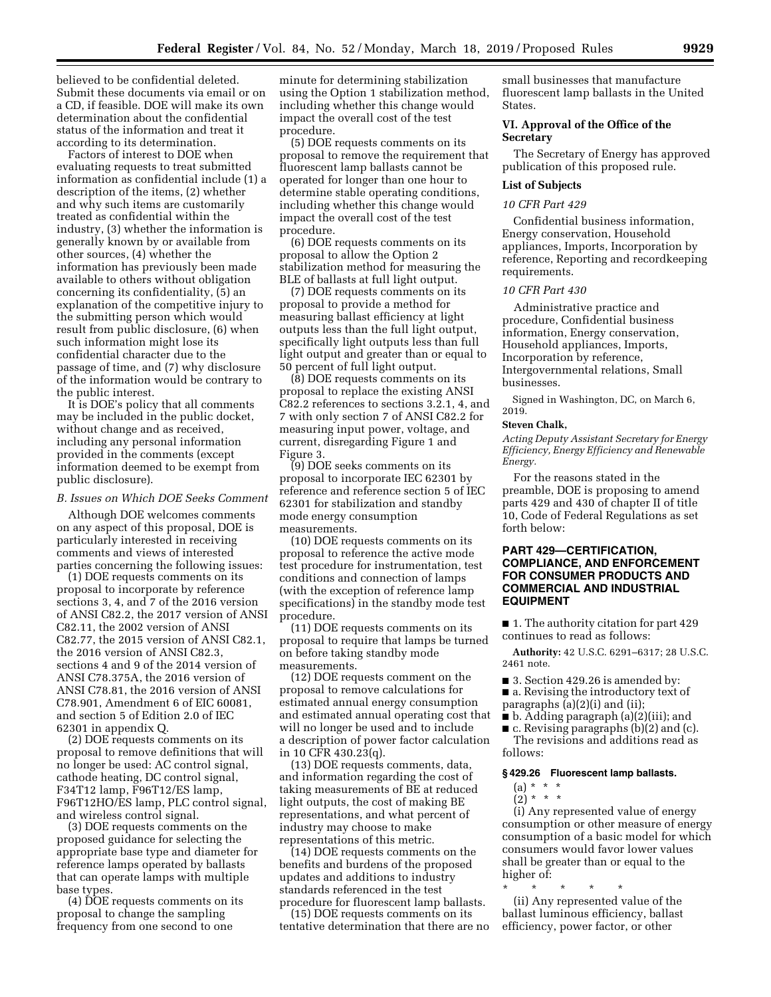believed to be confidential deleted. Submit these documents via email or on a CD, if feasible. DOE will make its own determination about the confidential status of the information and treat it according to its determination.

Factors of interest to DOE when evaluating requests to treat submitted information as confidential include (1) a description of the items, (2) whether and why such items are customarily treated as confidential within the industry, (3) whether the information is generally known by or available from other sources, (4) whether the information has previously been made available to others without obligation concerning its confidentiality, (5) an explanation of the competitive injury to the submitting person which would result from public disclosure, (6) when such information might lose its confidential character due to the passage of time, and (7) why disclosure of the information would be contrary to the public interest.

It is DOE's policy that all comments may be included in the public docket, without change and as received, including any personal information provided in the comments (except information deemed to be exempt from public disclosure).

#### *B. Issues on Which DOE Seeks Comment*

Although DOE welcomes comments on any aspect of this proposal, DOE is particularly interested in receiving comments and views of interested parties concerning the following issues:

(1) DOE requests comments on its proposal to incorporate by reference sections 3, 4, and 7 of the 2016 version of ANSI C82.2, the 2017 version of ANSI C82.11, the 2002 version of ANSI C82.77, the 2015 version of ANSI C82.1, the 2016 version of ANSI C82.3, sections 4 and 9 of the 2014 version of ANSI C78.375A, the 2016 version of ANSI C78.81, the 2016 version of ANSI C78.901, Amendment 6 of EIC 60081, and section 5 of Edition 2.0 of IEC 62301 in appendix Q.

(2) DOE requests comments on its proposal to remove definitions that will no longer be used: AC control signal, cathode heating, DC control signal, F34T12 lamp, F96T12/ES lamp, F96T12HO/ES lamp, PLC control signal, and wireless control signal.

(3) DOE requests comments on the proposed guidance for selecting the appropriate base type and diameter for reference lamps operated by ballasts that can operate lamps with multiple base types.

(4) DOE requests comments on its proposal to change the sampling frequency from one second to one

minute for determining stabilization using the Option 1 stabilization method, including whether this change would impact the overall cost of the test procedure.

(5) DOE requests comments on its proposal to remove the requirement that fluorescent lamp ballasts cannot be operated for longer than one hour to determine stable operating conditions, including whether this change would impact the overall cost of the test procedure.

(6) DOE requests comments on its proposal to allow the Option 2 stabilization method for measuring the BLE of ballasts at full light output.

(7) DOE requests comments on its proposal to provide a method for measuring ballast efficiency at light outputs less than the full light output, specifically light outputs less than full light output and greater than or equal to 50 percent of full light output.

(8) DOE requests comments on its proposal to replace the existing ANSI C82.2 references to sections 3.2.1, 4, and 7 with only section 7 of ANSI C82.2 for measuring input power, voltage, and current, disregarding Figure 1 and Figure 3.

(9) DOE seeks comments on its proposal to incorporate IEC 62301 by reference and reference section 5 of IEC 62301 for stabilization and standby mode energy consumption measurements.

(10) DOE requests comments on its proposal to reference the active mode test procedure for instrumentation, test conditions and connection of lamps (with the exception of reference lamp specifications) in the standby mode test procedure.

(11) DOE requests comments on its proposal to require that lamps be turned on before taking standby mode measurements.

(12) DOE requests comment on the proposal to remove calculations for estimated annual energy consumption and estimated annual operating cost that will no longer be used and to include a description of power factor calculation in 10 CFR 430.23(q).

(13) DOE requests comments, data, and information regarding the cost of taking measurements of BE at reduced light outputs, the cost of making BE representations, and what percent of industry may choose to make representations of this metric.

(14) DOE requests comments on the benefits and burdens of the proposed updates and additions to industry standards referenced in the test procedure for fluorescent lamp ballasts.

(15) DOE requests comments on its tentative determination that there are no

small businesses that manufacture fluorescent lamp ballasts in the United States.

## **VI. Approval of the Office of the Secretary**

The Secretary of Energy has approved publication of this proposed rule.

# **List of Subjects**

## *10 CFR Part 429*

Confidential business information, Energy conservation, Household appliances, Imports, Incorporation by reference, Reporting and recordkeeping requirements.

### *10 CFR Part 430*

Administrative practice and procedure, Confidential business information, Energy conservation, Household appliances, Imports, Incorporation by reference, Intergovernmental relations, Small businesses.

Signed in Washington, DC, on March 6, 2019.

#### **Steven Chalk,**

*Acting Deputy Assistant Secretary for Energy Efficiency, Energy Efficiency and Renewable Energy.* 

For the reasons stated in the preamble, DOE is proposing to amend parts 429 and 430 of chapter II of title 10, Code of Federal Regulations as set forth below:

## **PART 429—CERTIFICATION, COMPLIANCE, AND ENFORCEMENT FOR CONSUMER PRODUCTS AND COMMERCIAL AND INDUSTRIAL EQUIPMENT**

■ 1. The authority citation for part 429 continues to read as follows:

**Authority:** 42 U.S.C. 6291–6317; 28 U.S.C. 2461 note.

■ 3. Section 429.26 is amended by: ■ a. Revising the introductory text of

paragraphs (a)(2)(i) and (ii);

■ b. Adding paragraph (a)(2)(iii); and ■ c. Revising paragraphs (b)(2) and (c).

The revisions and additions read as follows:

#### **§ 429.26 Fluorescent lamp ballasts.**

- (a) \* \* \*
- $(2) * * * *$

(i) Any represented value of energy consumption or other measure of energy consumption of a basic model for which consumers would favor lower values shall be greater than or equal to the higher of:

\* \* \* \* \* (ii) Any represented value of the ballast luminous efficiency, ballast efficiency, power factor, or other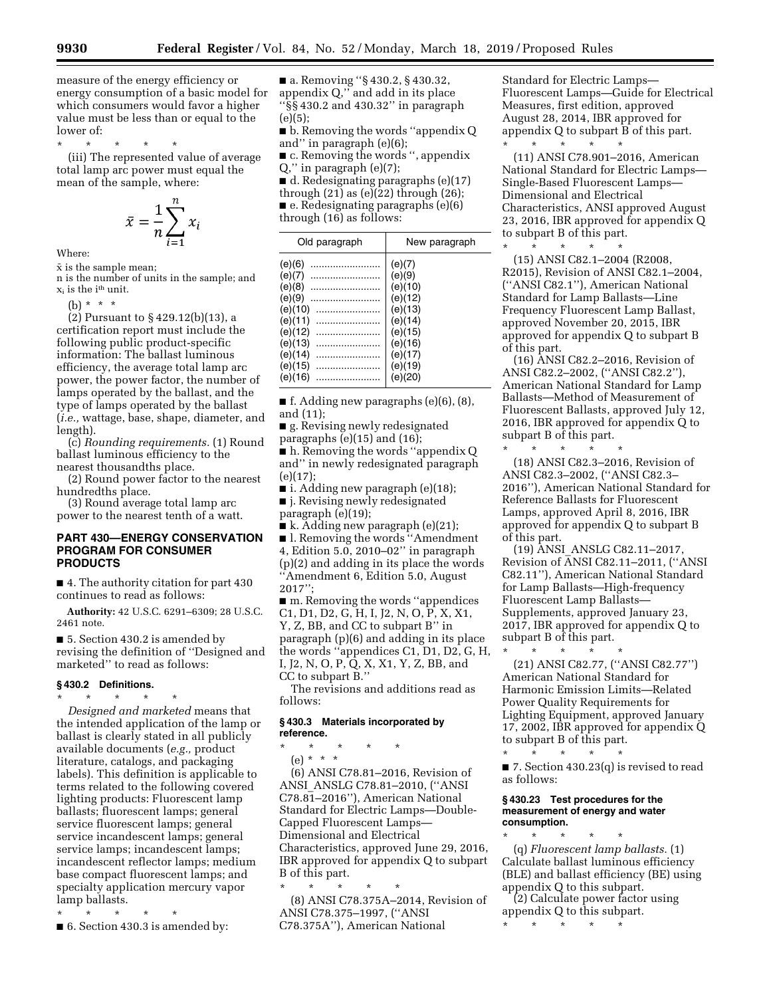measure of the energy efficiency or energy consumption of a basic model for

lower of:

\* \* \* \* \* (iii) The represented value of average total lamp arc power must equal the mean of the sample, where:

which consumers would favor a higher value must be less than or equal to the

$$
\bar{x} = \frac{1}{n} \sum_{i=1}^{n} x_i
$$

Where:

 $\bar{x}$  is the sample mean; n is the number of units in the sample; and

 $\mathbf{x}_i$  is the  $\mathrm{i}^{\text{th}}$  unit.

(b) \* \* \*

(2) Pursuant to § 429.12(b)(13), a certification report must include the following public product-specific information: The ballast luminous efficiency, the average total lamp arc power, the power factor, the number of lamps operated by the ballast, and the type of lamps operated by the ballast (*i.e.,* wattage, base, shape, diameter, and length).

(c) *Rounding requirements.* (1) Round ballast luminous efficiency to the nearest thousandths place.

(2) Round power factor to the nearest hundredths place.

(3) Round average total lamp arc power to the nearest tenth of a watt.

# **PART 430—ENERGY CONSERVATION PROGRAM FOR CONSUMER PRODUCTS**

■ 4. The authority citation for part 430 continues to read as follows:

**Authority:** 42 U.S.C. 6291–6309; 28 U.S.C. 2461 note.

■ 5. Section 430.2 is amended by revising the definition of ''Designed and marketed'' to read as follows:

## **§ 430.2 Definitions.**

\* \* \* \* \* *Designed and marketed* means that the intended application of the lamp or ballast is clearly stated in all publicly available documents (*e.g.,* product literature, catalogs, and packaging labels). This definition is applicable to terms related to the following covered lighting products: Fluorescent lamp ballasts; fluorescent lamps; general service fluorescent lamps; general service incandescent lamps; general service lamps; incandescent lamps; incandescent reflector lamps; medium base compact fluorescent lamps; and specialty application mercury vapor lamp ballasts.

\* \* \* \* \*

■ 6. Section 430.3 is amended by:

■ a. Removing "§ 430.2, § 430.32, appendix Q,'' and add in its place ''§§ 430.2 and 430.32'' in paragraph  $(e)(5);$ 

■ **b.** Removing the words "appendix Q and'' in paragraph (e)(6);

 $\blacksquare$  c. Removing the words ", appendix Q,'' in paragraph (e)(7); ■ d. Redesignating paragraphs (e)(17)

through  $(21)$  as  $(e)(22)$  through  $(26)$ ; ■ e. Redesignating paragraphs (e)(6) through (16) as follows:

| Old paragraph                                                                                    | New paragraph                                                                                 |
|--------------------------------------------------------------------------------------------------|-----------------------------------------------------------------------------------------------|
| (e)(6)<br>(e)(7)<br>(e)(8)<br>(e)(9)<br>(e)(10)<br>(e)(11)<br>(e)(12)<br>(e)(13)<br>(e)(14)<br>. | (e)(7)<br>(e)(9)<br>(e)(10)<br>(e)(12)<br>(e)(13)<br>(e)(14)<br>(e)(15)<br>(e)(16)<br>(e)(17) |
| (e)(15)                                                                                          | (e)(19)                                                                                       |
| (e)(16)                                                                                          | (e)(20)                                                                                       |

 $\blacksquare$  f. Adding new paragraphs (e)(6), (8), and (11);

■ g. Revising newly redesignated paragraphs (e)(15) and (16);

■ h. Removing the words "appendix Q and'' in newly redesignated paragraph (e)(17);

■ i. Adding new paragraph (e)(18);

■ j. Revising newly redesignated paragraph (e)(19);

■ k. Adding new paragraph (e)(21);

■ l. Removing the words "Amendment" 4, Edition 5.0, 2010–02'' in paragraph (p)(2) and adding in its place the words ''Amendment 6, Edition 5.0, August 2017'';

■ m. Removing the words "appendices C1, D1, D2, G, H, I, J2, N, O, P, X, X1, Y, Z, BB, and CC to subpart B'' in paragraph (p)(6) and adding in its place the words ''appendices C1, D1, D2, G, H, I, J2, N, O, P, Q, X, X1, Y, Z, BB, and CC to subpart B.''

The revisions and additions read as follows:

## **§ 430.3 Materials incorporated by reference.**

\* \* \* \* \* (e) \* \* \*

(6) ANSI C78.81–2016, Revision of ANSI\_ANSLG C78.81–2010, (''ANSI C78.81–2016''), American National Standard for Electric Lamps—Double-Capped Fluorescent Lamps— Dimensional and Electrical Characteristics, approved June 29, 2016, IBR approved for appendix Q to subpart B of this part.

\* \* \* \* \* (8) ANSI C78.375A–2014, Revision of ANSI C78.375–1997, (''ANSI C78.375A''), American National

Standard for Electric Lamps— Fluorescent Lamps—Guide for Electrical Measures, first edition, approved August 28, 2014, IBR approved for appendix Q to subpart B of this part. \* \* \* \* \*

(11) ANSI C78.901–2016, American National Standard for Electric Lamps— Single-Based Fluorescent Lamps— Dimensional and Electrical Characteristics, ANSI approved August 23, 2016, IBR approved for appendix Q to subpart B of this part. \* \* \* \* \*

(15) ANSI C82.1–2004 (R2008, R2015), Revision of ANSI C82.1–2004, (''ANSI C82.1''), American National Standard for Lamp Ballasts—Line Frequency Fluorescent Lamp Ballast, approved November 20, 2015, IBR approved for appendix Q to subpart B of this part.

(16) ANSI C82.2–2016, Revision of ANSI C82.2–2002, (''ANSI C82.2''), American National Standard for Lamp Ballasts—Method of Measurement of Fluorescent Ballasts, approved July 12, 2016, IBR approved for appendix Q to subpart B of this part.

\* \* \* \* \* (18) ANSI C82.3–2016, Revision of ANSI C82.3–2002, (''ANSI C82.3– 2016''), American National Standard for Reference Ballasts for Fluorescent Lamps, approved April 8, 2016, IBR approved for appendix Q to subpart B of this part.

(19) ANSI\_ANSLG C82.11–2017, Revision of ANSI C82.11–2011, (''ANSI C82.11''), American National Standard for Lamp Ballasts—High-frequency Fluorescent Lamp Ballasts— Supplements, approved January 23, 2017, IBR approved for appendix Q to subpart B of this part.

\* \* \* \* \* (21) ANSI C82.77, (''ANSI C82.77'') American National Standard for Harmonic Emission Limits—Related Power Quality Requirements for Lighting Equipment, approved January 17, 2002, IBR approved for appendix Q to subpart B of this part.

■ 7. Section 430.23(q) is revised to read as follows:

#### **§ 430.23 Test procedures for the measurement of energy and water consumption.**

\* \* \* \* \*

\* \* \* \* \* (q) *Fluorescent lamp ballasts.* (1) Calculate ballast luminous efficiency (BLE) and ballast efficiency (BE) using appendix Q to this subpart.

(2) Calculate power factor using appendix Q to this subpart. \* \* \* \* \*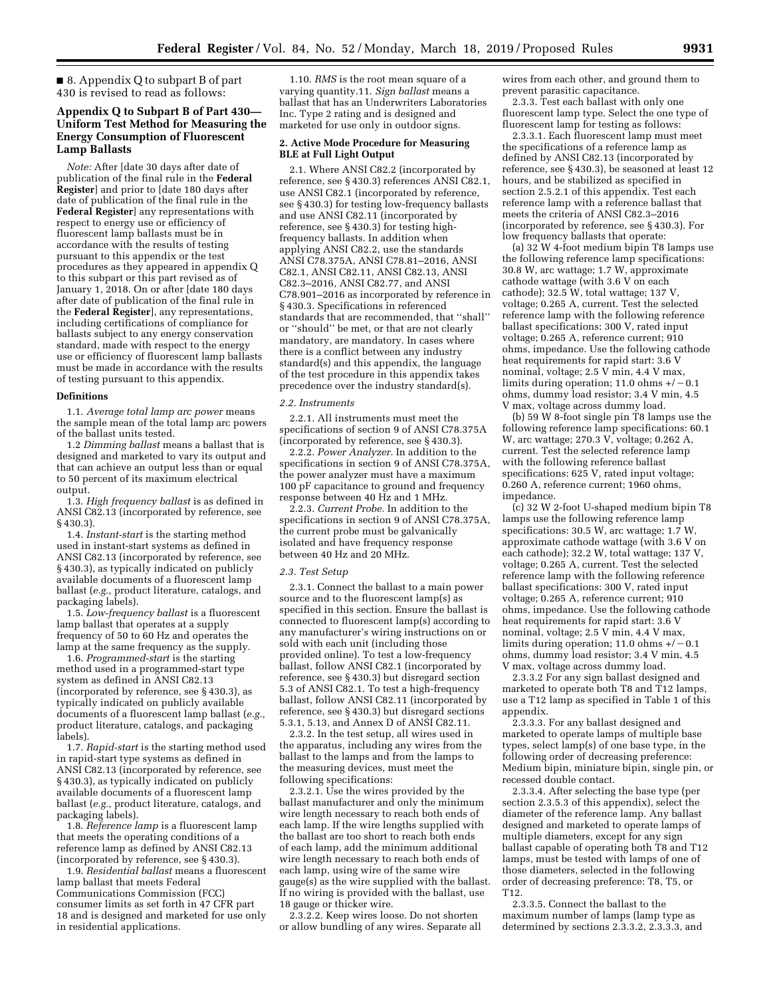■ 8. Appendix Q to subpart B of part 430 is revised to read as follows:

## **Appendix Q to Subpart B of Part 430— Uniform Test Method for Measuring the Energy Consumption of Fluorescent Lamp Ballasts**

*Note:* After [date 30 days after date of publication of the final rule in the **Federal Register**] and prior to [date 180 days after date of publication of the final rule in the **Federal Register**] any representations with respect to energy use or efficiency of fluorescent lamp ballasts must be in accordance with the results of testing pursuant to this appendix or the test procedures as they appeared in appendix Q to this subpart or this part revised as of January 1, 2018. On or after [date 180 days after date of publication of the final rule in the **Federal Register**], any representations, including certifications of compliance for ballasts subject to any energy conservation standard, made with respect to the energy use or efficiency of fluorescent lamp ballasts must be made in accordance with the results of testing pursuant to this appendix.

#### **Definitions**

1.1. *Average total lamp arc power* means the sample mean of the total lamp arc powers of the ballast units tested.

1.2 *Dimming ballast* means a ballast that is designed and marketed to vary its output and that can achieve an output less than or equal to 50 percent of its maximum electrical output.

1.3. *High frequency ballast* is as defined in ANSI C82.13 (incorporated by reference, see § 430.3).

1.4. *Instant-start* is the starting method used in instant-start systems as defined in ANSI C82.13 (incorporated by reference, see § 430.3), as typically indicated on publicly available documents of a fluorescent lamp ballast (*e.g.,* product literature, catalogs, and packaging labels).

1.5. *Low-frequency ballast* is a fluorescent lamp ballast that operates at a supply frequency of 50 to 60 Hz and operates the lamp at the same frequency as the supply.

1.6. *Programmed-start* is the starting method used in a programmed-start type system as defined in ANSI C82.13 (incorporated by reference, see § 430.3), as typically indicated on publicly available documents of a fluorescent lamp ballast (*e.g.,*  product literature, catalogs, and packaging labels).

1.7. *Rapid-start* is the starting method used in rapid-start type systems as defined in ANSI C82.13 (incorporated by reference, see § 430.3), as typically indicated on publicly available documents of a fluorescent lamp ballast (*e.g.,* product literature, catalogs, and packaging labels).

1.8. *Reference lamp* is a fluorescent lamp that meets the operating conditions of a reference lamp as defined by ANSI C82.13 (incorporated by reference, see § 430.3).

1.9. *Residential ballast* means a fluorescent lamp ballast that meets Federal Communications Commission (FCC) consumer limits as set forth in 47 CFR part 18 and is designed and marketed for use only in residential applications.

1.10. *RMS* is the root mean square of a varying quantity.11. *Sign ballast* means a ballast that has an Underwriters Laboratories Inc. Type 2 rating and is designed and marketed for use only in outdoor signs.

#### **2. Active Mode Procedure for Measuring BLE at Full Light Output**

2.1. Where ANSI C82.2 (incorporated by reference, see § 430.3) references ANSI C82.1, use ANSI C82.1 (incorporated by reference, see § 430.3) for testing low-frequency ballasts and use ANSI C82.11 (incorporated by reference, see § 430.3) for testing highfrequency ballasts. In addition when applying ANSI C82.2, use the standards ANSI C78.375A, ANSI C78.81–2016, ANSI C82.1, ANSI C82.11, ANSI C82.13, ANSI C82.3–2016, ANSI C82.77, and ANSI C78.901–2016 as incorporated by reference in § 430.3. Specifications in referenced standards that are recommended, that ''shall'' or ''should'' be met, or that are not clearly mandatory, are mandatory. In cases where there is a conflict between any industry standard(s) and this appendix, the language of the test procedure in this appendix takes precedence over the industry standard(s).

#### *2.2. Instruments*

2.2.1. All instruments must meet the specifications of section 9 of ANSI C78.375A (incorporated by reference, see § 430.3).

2.2.2. *Power Analyzer.* In addition to the specifications in section 9 of ANSI C78.375A, the power analyzer must have a maximum 100 pF capacitance to ground and frequency response between 40 Hz and 1 MHz.

2.2.3. *Current Probe.* In addition to the specifications in section 9 of ANSI C78.375A, the current probe must be galvanically isolated and have frequency response between 40 Hz and 20 MHz.

#### *2.3. Test Setup*

2.3.1. Connect the ballast to a main power source and to the fluorescent lamp(s) as specified in this section. Ensure the ballast is connected to fluorescent lamp(s) according to any manufacturer's wiring instructions on or sold with each unit (including those provided online). To test a low-frequency ballast, follow ANSI C82.1 (incorporated by reference, see § 430.3) but disregard section 5.3 of ANSI C82.1. To test a high-frequency ballast, follow ANSI C82.11 (incorporated by reference, see § 430.3) but disregard sections 5.3.1, 5.13, and Annex D of ANSI C82.11.

2.3.2. In the test setup, all wires used in the apparatus, including any wires from the ballast to the lamps and from the lamps to the measuring devices, must meet the following specifications:

2.3.2.1. Use the wires provided by the ballast manufacturer and only the minimum wire length necessary to reach both ends of each lamp. If the wire lengths supplied with the ballast are too short to reach both ends of each lamp, add the minimum additional wire length necessary to reach both ends of each lamp, using wire of the same wire gauge(s) as the wire supplied with the ballast. If no wiring is provided with the ballast, use 18 gauge or thicker wire.

2.3.2.2. Keep wires loose. Do not shorten or allow bundling of any wires. Separate all

wires from each other, and ground them to prevent parasitic capacitance.

2.3.3. Test each ballast with only one fluorescent lamp type. Select the one type of fluorescent lamp for testing as follows:

2.3.3.1. Each fluorescent lamp must meet the specifications of a reference lamp as defined by ANSI C82.13 (incorporated by reference, see § 430.3), be seasoned at least 12 hours, and be stabilized as specified in section 2.5.2.1 of this appendix. Test each reference lamp with a reference ballast that meets the criteria of ANSI C82.3–2016 (incorporated by reference, see § 430.3). For low frequency ballasts that operate:

(a) 32 W 4-foot medium bipin T8 lamps use the following reference lamp specifications: 30.8 W, arc wattage; 1.7 W, approximate cathode wattage (with 3.6 V on each cathode); 32.5 W, total wattage; 137 V, voltage; 0.265 A, current. Test the selected reference lamp with the following reference ballast specifications: 300 V, rated input voltage; 0.265 A, reference current; 910 ohms, impedance. Use the following cathode heat requirements for rapid start: 3.6 V nominal, voltage; 2.5 V min, 4.4 V max, limits during operation; 11.0 ohms  $+/-0.1$ ohms, dummy load resistor; 3.4 V min, 4.5 V max, voltage across dummy load.

(b) 59 W 8-foot single pin T8 lamps use the following reference lamp specifications: 60.1 W, arc wattage; 270.3 V, voltage; 0.262 A, current. Test the selected reference lamp with the following reference ballast specifications: 625 V, rated input voltage; 0.260 A, reference current; 1960 ohms, impedance.

(c) 32 W 2-foot U-shaped medium bipin T8 lamps use the following reference lamp specifications: 30.5 W, arc wattage; 1.7 W, approximate cathode wattage (with 3.6 V on each cathode); 32.2 W, total wattage; 137 V, voltage; 0.265 A, current. Test the selected reference lamp with the following reference ballast specifications: 300 V, rated input voltage; 0.265 A, reference current; 910 ohms, impedance. Use the following cathode heat requirements for rapid start: 3.6 V nominal, voltage; 2.5 V min, 4.4 V max, limits during operation; 11.0 ohms  $+/-0.1$ ohms, dummy load resistor; 3.4 V min, 4.5 V max, voltage across dummy load.

2.3.3.2 For any sign ballast designed and marketed to operate both T8 and T12 lamps, use a T12 lamp as specified in Table 1 of this appendix.

2.3.3.3. For any ballast designed and marketed to operate lamps of multiple base types, select lamp(s) of one base type, in the following order of decreasing preference: Medium bipin, miniature bipin, single pin, or recessed double contact.

2.3.3.4. After selecting the base type (per section 2.3.5.3 of this appendix), select the diameter of the reference lamp. Any ballast designed and marketed to operate lamps of multiple diameters, except for any sign ballast capable of operating both T8 and T12 lamps, must be tested with lamps of one of those diameters, selected in the following order of decreasing preference: T8, T5, or T12.

2.3.3.5. Connect the ballast to the maximum number of lamps (lamp type as determined by sections 2.3.3.2, 2.3.3.3, and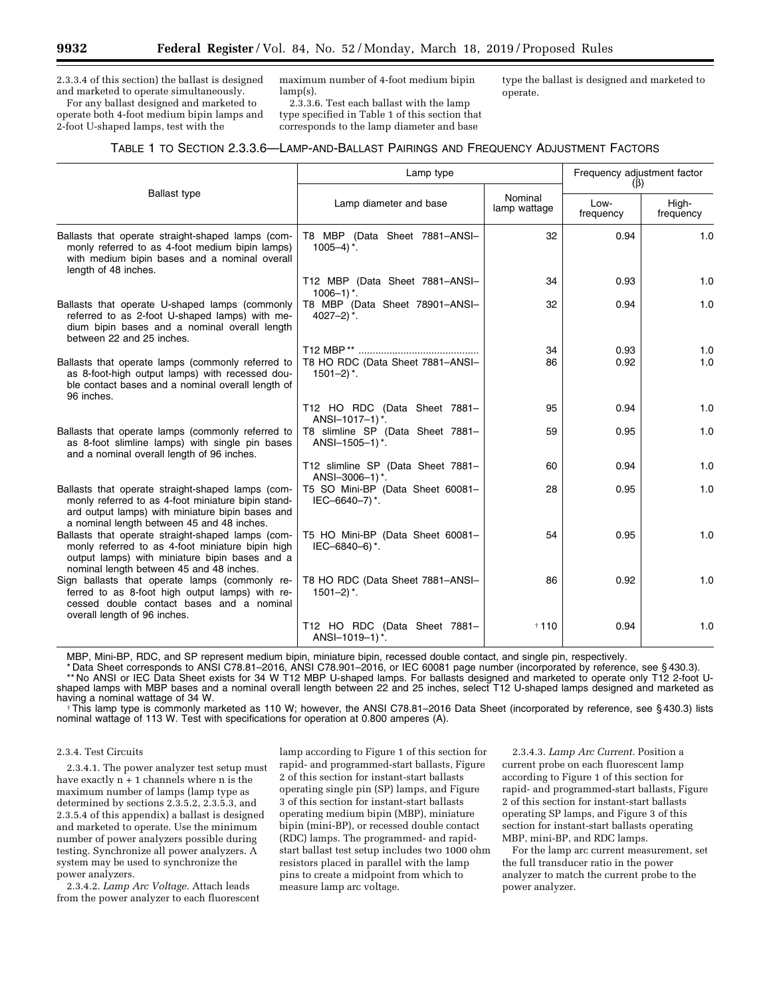2.3.3.4 of this section) the ballast is designed and marketed to operate simultaneously.

For any ballast designed and marketed to operate both 4-foot medium bipin lamps and 2-foot U-shaped lamps, test with the

maximum number of 4-foot medium bipin lamp(s).

2.3.3.6. Test each ballast with the lamp type specified in Table 1 of this section that corresponds to the lamp diameter and base

type the ballast is designed and marketed to operate.

### TABLE 1 TO SECTION 2.3.3.6—LAMP-AND-BALLAST PAIRINGS AND FREQUENCY ADJUSTMENT FACTORS

|                                                                                                                                                                                                           | Lamp type                                                        |                         | Frequency adjustment factor<br>$(\beta)$ |                    |
|-----------------------------------------------------------------------------------------------------------------------------------------------------------------------------------------------------------|------------------------------------------------------------------|-------------------------|------------------------------------------|--------------------|
| <b>Ballast type</b>                                                                                                                                                                                       | Lamp diameter and base                                           | Nominal<br>lamp wattage | Low-<br>frequency                        | High-<br>frequency |
| Ballasts that operate straight-shaped lamps (com-<br>monly referred to as 4-foot medium bipin lamps)<br>with medium bipin bases and a nominal overall<br>length of 48 inches.                             | T8 MBP (Data Sheet 7881-ANSI-<br>$1005 - 4$ <sup>*</sup> .       | 32                      | 0.94                                     | 1.0                |
|                                                                                                                                                                                                           | T12 MBP (Data Sheet 7881-ANSI-<br>$1006 - 1$ <sup>*</sup> .      | 34                      | 0.93                                     | 1.0                |
| Ballasts that operate U-shaped lamps (commonly<br>referred to as 2-foot U-shaped lamps) with me-<br>dium bipin bases and a nominal overall length<br>between 22 and 25 inches.                            | T8 MBP (Data Sheet 78901-ANSI-<br>$4027 - 2$ <sup>*</sup> .      | 32                      | 0.94                                     | 1.0                |
|                                                                                                                                                                                                           |                                                                  | 34                      | 0.93                                     | 1.0                |
| Ballasts that operate lamps (commonly referred to<br>as 8-foot-high output lamps) with recessed dou-<br>ble contact bases and a nominal overall length of<br>96 inches.                                   | T8 HO RDC (Data Sheet 7881-ANSI-<br>$1501 - 2$ <sup>*</sup> .    | 86                      | 0.92                                     | 1.0                |
|                                                                                                                                                                                                           | T12 HO RDC (Data Sheet 7881-<br>ANSI-1017-1)*.                   | 95                      | 0.94                                     | 1.0                |
| Ballasts that operate lamps (commonly referred to<br>as 8-foot slimline lamps) with single pin bases<br>and a nominal overall length of 96 inches.                                                        | T8 slimline SP (Data Sheet 7881-<br>ANSI-1505-1)*.               | 59                      | 0.95                                     | 1.0                |
|                                                                                                                                                                                                           | T12 slimline SP (Data Sheet 7881-<br>ANSI-3006-1)*.              | 60                      | 0.94                                     | 1.0                |
| Ballasts that operate straight-shaped lamps (com-<br>monly referred to as 4-foot miniature bipin stand-<br>ard output lamps) with miniature bipin bases and<br>a nominal length between 45 and 48 inches. | T5 SO Mini-BP (Data Sheet 60081-<br>IEC-6640-7)*.                | 28                      | 0.95                                     | 1.0                |
| Ballasts that operate straight-shaped lamps (com-<br>monly referred to as 4-foot miniature bipin high<br>output lamps) with miniature bipin bases and a<br>nominal length between 45 and 48 inches.       | T5 HO Mini-BP (Data Sheet 60081-<br>IEC-6840-6)*.                | 54                      | 0.95                                     | 1.0                |
| Sign ballasts that operate lamps (commonly re-<br>ferred to as 8-foot high output lamps) with re-<br>cessed double contact bases and a nominal<br>overall length of 96 inches.                            | T8 HO RDC (Data Sheet 7881-ANSI-<br>$1501 - 2$ , $\frac{*}{2}$ . | 86                      | 0.92                                     | 1.0                |
|                                                                                                                                                                                                           | T12 HO RDC (Data Sheet 7881-<br>ANSI-1019-1)*.                   | † 110                   | 0.94                                     | 1.0                |

MBP, Mini-BP, RDC, and SP represent medium bipin, miniature bipin, recessed double contact, and single pin, respectively.

\* Data Sheet corresponds to ANSI C78.81–2016, ANSI C78.901–2016, or IEC 60081 page number (incorporated by reference, see § 430.3).

\*\* No ANSI or IEC Data Sheet exists for 34 W T12 MBP U-shaped lamps. For ballasts designed and marketed to operate only T12 2-foot Ushaped lamps with MBP bases and a nominal overall length between 22 and 25 inches, select T12 U-shaped lamps designed and marketed as<br>having a nominal wattage of 34 W.

†This lamp type is commonly marketed as 110 W; however, the ANSI C78.81–2016 Data Sheet (incorporated by reference, see § 430.3) lists nominal wattage of 113 W. Test with specifications for operation at 0.800 amperes (A).

#### 2.3.4. Test Circuits

2.3.4.1. The power analyzer test setup must have exactly n + 1 channels where n is the maximum number of lamps (lamp type as determined by sections 2.3.5.2, 2.3.5.3, and 2.3.5.4 of this appendix) a ballast is designed and marketed to operate. Use the minimum number of power analyzers possible during testing. Synchronize all power analyzers. A system may be used to synchronize the power analyzers.

2.3.4.2. *Lamp Arc Voltage.* Attach leads from the power analyzer to each fluorescent

lamp according to Figure 1 of this section for rapid- and programmed-start ballasts, Figure 2 of this section for instant-start ballasts operating single pin (SP) lamps, and Figure 3 of this section for instant-start ballasts operating medium bipin (MBP), miniature bipin (mini-BP), or recessed double contact (RDC) lamps. The programmed- and rapidstart ballast test setup includes two 1000 ohm resistors placed in parallel with the lamp pins to create a midpoint from which to measure lamp arc voltage.

2.3.4.3. *Lamp Arc Current.* Position a current probe on each fluorescent lamp according to Figure 1 of this section for rapid- and programmed-start ballasts, Figure 2 of this section for instant-start ballasts operating SP lamps, and Figure 3 of this section for instant-start ballasts operating MBP, mini-BP, and RDC lamps.

For the lamp arc current measurement, set the full transducer ratio in the power analyzer to match the current probe to the power analyzer.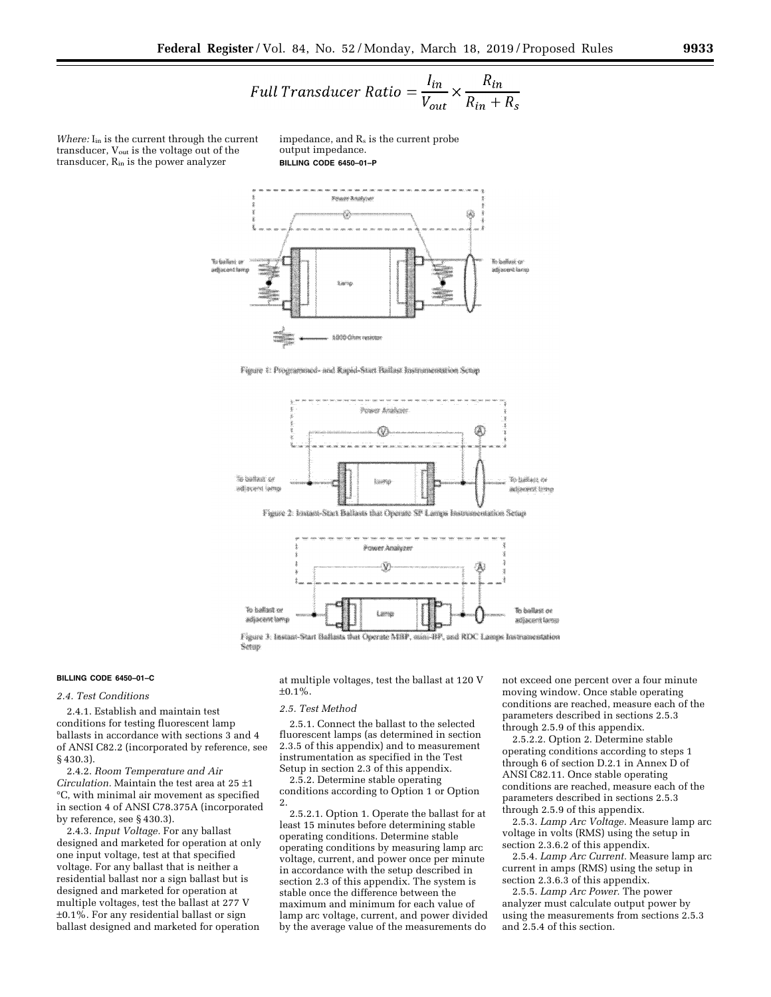$$
Full\ Transducer\ Ratio = \frac{I_{in}}{V_{out}} \times \frac{R_{in}}{R_{in} + R_s}
$$

*Where:* I<sub>in</sub> is the current through the current transducer,  $V_{\text{out}}$  is the voltage out of the transducer, Rin is the power analyzer

impedance, and  $R_s$  is the current probe output impedance. **BILLING CODE 6450–01–P** 



Figure 1: Programmed- and Rapid-Start Ballast Instrumentation Scrap



Figure 3: Instant-Start Ballusts that Operate MBP, mini-BP, and RIX. Lange Instrumentation Setup

#### **BILLING CODE 6450–01–C**

#### *2.4. Test Conditions*

2.4.1. Establish and maintain test conditions for testing fluorescent lamp ballasts in accordance with sections 3 and 4 of ANSI C82.2 (incorporated by reference, see § 430.3).

2.4.2. *Room Temperature and Air Circulation.* Maintain the test area at 25 ±1 °C, with minimal air movement as specified in section 4 of ANSI C78.375A (incorporated by reference, see § 430.3).

2.4.3. *Input Voltage.* For any ballast designed and marketed for operation at only one input voltage, test at that specified voltage. For any ballast that is neither a residential ballast nor a sign ballast but is designed and marketed for operation at multiple voltages, test the ballast at 277 V ±0.1%. For any residential ballast or sign ballast designed and marketed for operation

at multiple voltages, test the ballast at 120 V ±0.1%.

#### *2.5. Test Method*

2.5.1. Connect the ballast to the selected fluorescent lamps (as determined in section 2.3.5 of this appendix) and to measurement instrumentation as specified in the Test Setup in section 2.3 of this appendix.

2.5.2. Determine stable operating conditions according to Option 1 or Option 2.

2.5.2.1. Option 1. Operate the ballast for at least 15 minutes before determining stable operating conditions. Determine stable operating conditions by measuring lamp arc voltage, current, and power once per minute in accordance with the setup described in section 2.3 of this appendix. The system is stable once the difference between the maximum and minimum for each value of lamp arc voltage, current, and power divided by the average value of the measurements do not exceed one percent over a four minute moving window. Once stable operating conditions are reached, measure each of the parameters described in sections 2.5.3 through 2.5.9 of this appendix.

2.5.2.2. Option 2. Determine stable operating conditions according to steps 1 through 6 of section D.2.1 in Annex D of ANSI C82.11. Once stable operating conditions are reached, measure each of the parameters described in sections 2.5.3 through 2.5.9 of this appendix.

2.5.3. *Lamp Arc Voltage.* Measure lamp arc voltage in volts (RMS) using the setup in section 2.3.6.2 of this appendix.

2.5.4. *Lamp Arc Current.* Measure lamp arc current in amps (RMS) using the setup in section 2.3.6.3 of this appendix.

2.5.5. *Lamp Arc Power.* The power analyzer must calculate output power by using the measurements from sections 2.5.3 and 2.5.4 of this section.